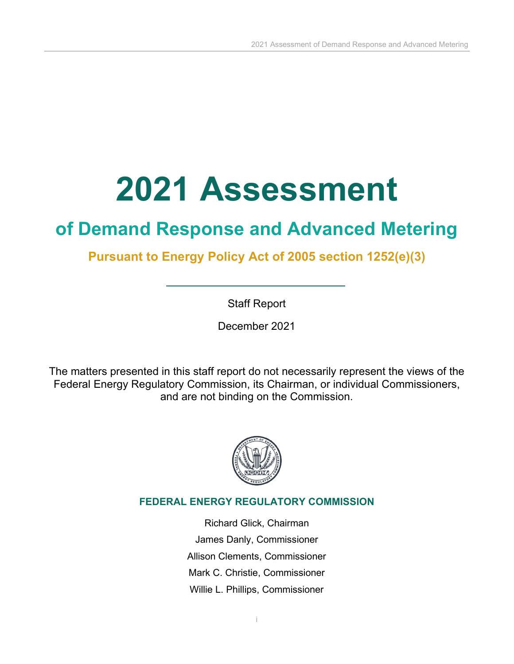# **2021 Assessment**

## **of Demand Response and Advanced Metering**

## **Pursuant to Energy Policy Act of 2005 section 1252(e)(3)**

Staff Report

December 2021

The matters presented in this staff report do not necessarily represent the views of the Federal Energy Regulatory Commission, its Chairman, or individual Commissioners, and are not binding on the Commission.



### **FEDERAL ENERGY REGULATORY COMMISSION**

Richard Glick, Chairman James Danly, Commissioner Allison Clements, Commissioner Mark C. Christie, Commissioner Willie L. Phillips, Commissioner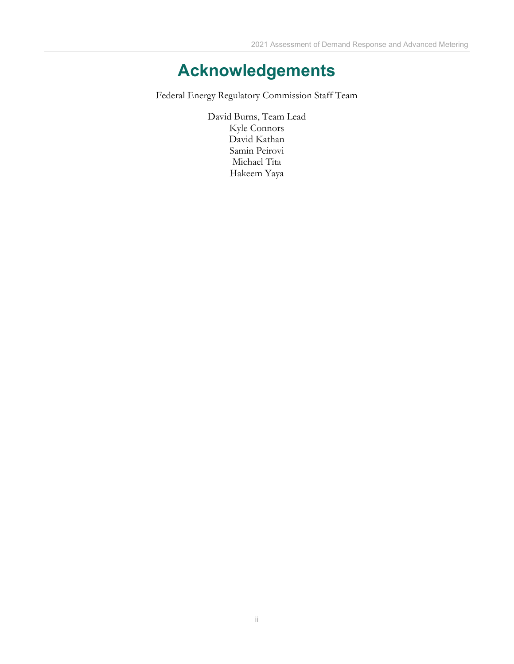## **Acknowledgements**

<span id="page-1-0"></span>Federal Energy Regulatory Commission Staff Team

David Burns, Team Lead Kyle Connors David Kathan Samin Peirovi Michael Tita Hakeem Yaya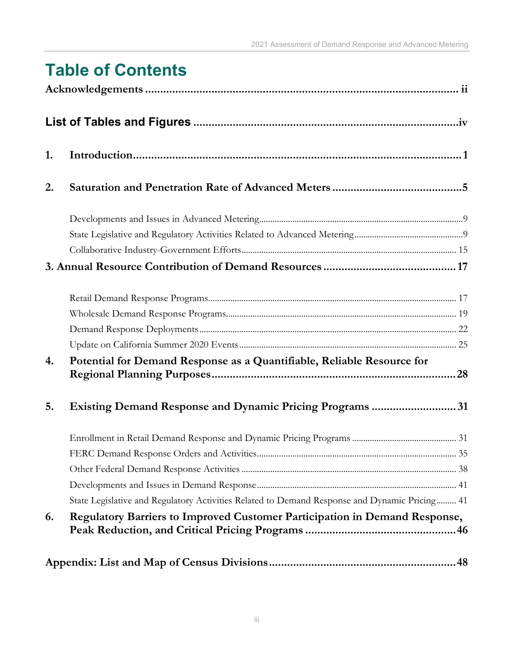| <b>Table of Contents</b> |  |  |  |
|--------------------------|--|--|--|
|                          |  |  |  |

| 1. |                                                                                               |
|----|-----------------------------------------------------------------------------------------------|
| 2. |                                                                                               |
|    |                                                                                               |
|    |                                                                                               |
|    |                                                                                               |
|    |                                                                                               |
|    |                                                                                               |
|    |                                                                                               |
|    |                                                                                               |
|    |                                                                                               |
| 4. | Potential for Demand Response as a Quantifiable, Reliable Resource for                        |
| 5. | <b>Existing Demand Response and Dynamic Pricing Programs 31</b>                               |
|    |                                                                                               |
|    |                                                                                               |
|    |                                                                                               |
|    |                                                                                               |
|    | State Legislative and Regulatory Activities Related to Demand Response and Dynamic Pricing 41 |
| 6. | Regulatory Barriers to Improved Customer Participation in Demand Response,                    |
|    |                                                                                               |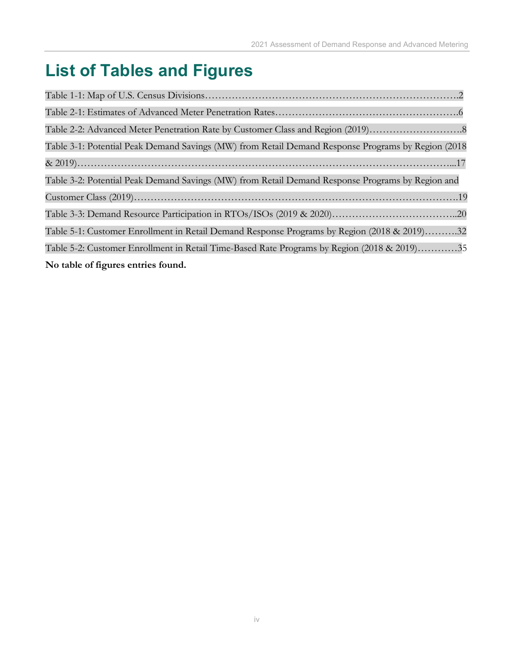## <span id="page-3-0"></span>**List of Tables and Figures**

| Table 3-1: Potential Peak Demand Savings (MW) from Retail Demand Response Programs by Region (2018 |
|----------------------------------------------------------------------------------------------------|
|                                                                                                    |
| Table 3-2: Potential Peak Demand Savings (MW) from Retail Demand Response Programs by Region and   |
|                                                                                                    |
|                                                                                                    |
| Table 5-1: Customer Enrollment in Retail Demand Response Programs by Region (2018 & 2019)32        |
| Table 5-2: Customer Enrollment in Retail Time-Based Rate Programs by Region (2018 & 2019)35        |
| No table of figures entries found.                                                                 |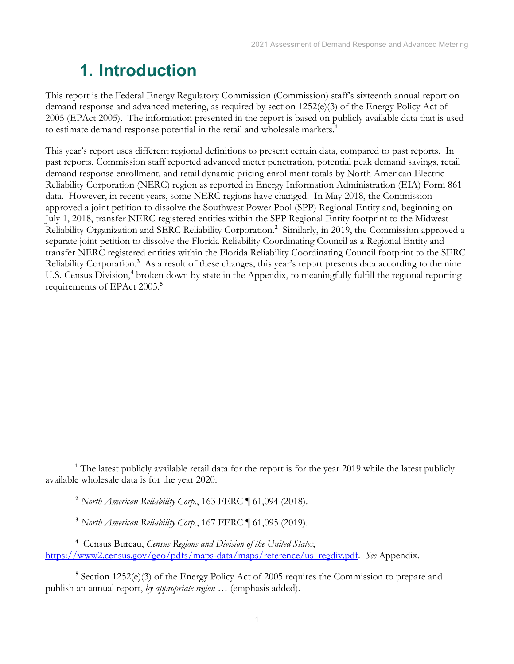## <span id="page-4-0"></span>**1. Introduction**

This report is the Federal Energy Regulatory Commission (Commission) staff's sixteenth annual report on demand response and advanced metering, as required by section 1252(e)(3) of the Energy Policy Act of 2005 (EPAct 2005). The information presented in the report is based on publicly available data that is used to estimate demand response potential in the retail and wholesale markets. **[1](#page-4-1)**

This year's report uses different regional definitions to present certain data, compared to past reports. In past reports, Commission staff reported advanced meter penetration, potential peak demand savings, retail demand response enrollment, and retail dynamic pricing enrollment totals by North American Electric Reliability Corporation (NERC) region as reported in Energy Information Administration (EIA) Form 861 data. However, in recent years, some NERC regions have changed. In May 2018, the Commission approved a joint petition to dissolve the Southwest Power Pool (SPP) Regional Entity and, beginning on July 1, 2018, transfer NERC registered entities within the SPP Regional Entity footprint to the Midwest Reliability Organization and SERC Reliability Corporation.<sup>[2](#page-4-2)</sup> Similarly, in 2019, the Commission approved a separate joint petition to dissolve the Florida Reliability Coordinating Council as a Regional Entity and transfer NERC registered entities within the Florida Reliability Coordinating Council footprint to the SERC Reliability Corporation.<sup>[3](#page-4-3)</sup> As a result of these changes, this year's report presents data according to the nine U.S. Census Division, **[4](#page-4-4)** broken down by state in the Appendix, to meaningfully fulfill the regional reporting requirements of EPAct 2005. **[5](#page-4-5)**

<span id="page-4-5"></span><sup>5</sup> Section 1252(e)(3) of the Energy Policy Act of 2005 requires the Commission to prepare and publish an annual report, *by appropriate region …* (emphasis added).

<span id="page-4-2"></span><span id="page-4-1"></span><sup>&</sup>lt;sup>1</sup> The latest publicly available retail data for the report is for the year 2019 while the latest publicly available wholesale data is for the year 2020.

**<sup>2</sup>** *North American Reliability Corp.*, 163 FERC ¶ 61,094 (2018).

**<sup>3</sup>** *North American Reliability Corp.*, 167 FERC ¶ 61,095 (2019).

<span id="page-4-4"></span><span id="page-4-3"></span>**<sup>4</sup>** Census Bureau, *Census Regions and Division of the United States*, [https://www2.census.gov/geo/pdfs/maps-data/maps/reference/us\\_regdiv.pdf.](https://www2.census.gov/geo/pdfs/maps-data/maps/reference/us_regdiv.pdf) *See* Appendix.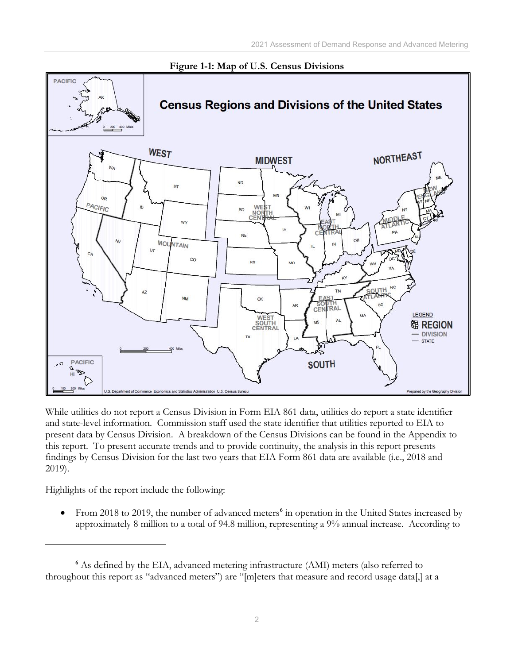

#### **Figure 1-1: Map of U.S. Census Divisions**

While utilities do not report a Census Division in Form EIA 861 data, utilities do report a state identifier and state-level information. Commission staff used the state identifier that utilities reported to EIA to present data by Census Division. A breakdown of the Census Divisions can be found in the Appendix to this report. To present accurate trends and to provide continuity, the analysis in this report presents findings by Census Division for the last two years that EIA Form 861 data are available (i.e., 2018 and 2019).

Highlights of the report include the following:

• From 2018 to 2019, the number of advanced meters<sup>[6](#page-5-0)</sup> in operation in the United States increased by approximately 8 million to a total of 94.8 million, representing a 9% annual increase. According to

<span id="page-5-0"></span>**<sup>6</sup>** As defined by the EIA, advanced metering infrastructure (AMI) meters (also referred to throughout this report as "advanced meters") are "[m]eters that measure and record usage data[,] at a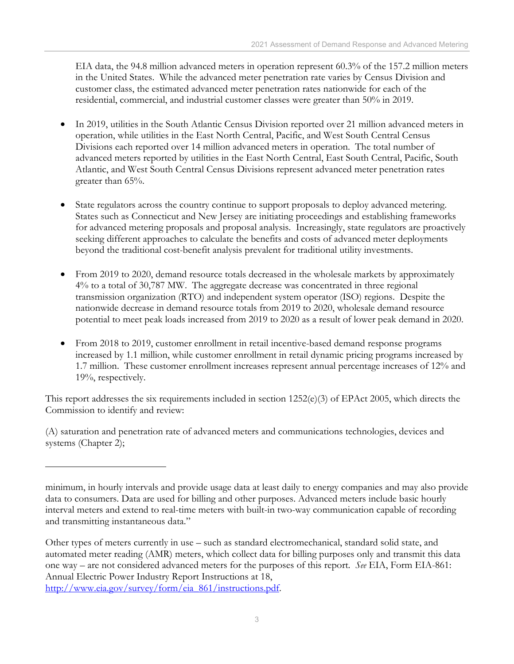EIA data, the 94.8 million advanced meters in operation represent 60.3% of the 157.2 million meters in the United States. While the advanced meter penetration rate varies by Census Division and customer class, the estimated advanced meter penetration rates nationwide for each of the residential, commercial, and industrial customer classes were greater than 50% in 2019.

- In 2019, utilities in the South Atlantic Census Division reported over 21 million advanced meters in operation, while utilities in the East North Central, Pacific, and West South Central Census Divisions each reported over 14 million advanced meters in operation. The total number of advanced meters reported by utilities in the East North Central, East South Central, Pacific, South Atlantic, and West South Central Census Divisions represent advanced meter penetration rates greater than 65%.
- State regulators across the country continue to support proposals to deploy advanced metering. States such as Connecticut and New Jersey are initiating proceedings and establishing frameworks for advanced metering proposals and proposal analysis. Increasingly, state regulators are proactively seeking different approaches to calculate the benefits and costs of advanced meter deployments beyond the traditional cost-benefit analysis prevalent for traditional utility investments.
- From 2019 to 2020, demand resource totals decreased in the wholesale markets by approximately 4% to a total of 30,787 MW. The aggregate decrease was concentrated in three regional transmission organization (RTO) and independent system operator (ISO) regions. Despite the nationwide decrease in demand resource totals from 2019 to 2020, wholesale demand resource potential to meet peak loads increased from 2019 to 2020 as a result of lower peak demand in 2020.
- From 2018 to 2019, customer enrollment in retail incentive-based demand response programs increased by 1.1 million, while customer enrollment in retail dynamic pricing programs increased by 1.7 million. These customer enrollment increases represent annual percentage increases of 12% and 19%, respectively.

This report addresses the six requirements included in section  $1252(e)(3)$  of EPAct 2005, which directs the Commission to identify and review:

(A) saturation and penetration rate of advanced meters and communications technologies, devices and systems (Chapter 2);

minimum, in hourly intervals and provide usage data at least daily to energy companies and may also provide data to consumers. Data are used for billing and other purposes. Advanced meters include basic hourly interval meters and extend to real-time meters with built-in two-way communication capable of recording and transmitting instantaneous data."

Other types of meters currently in use – such as standard electromechanical, standard solid state, and automated meter reading (AMR) meters, which collect data for billing purposes only and transmit this data one way – are not considered advanced meters for the purposes of this report. *See* EIA, Form EIA-861: Annual Electric Power Industry Report Instructions at 18, [http://www.eia.gov/survey/form/eia\\_861/instructions.pdf.](http://www.eia.gov/survey/form/eia_861/instructions.pdf)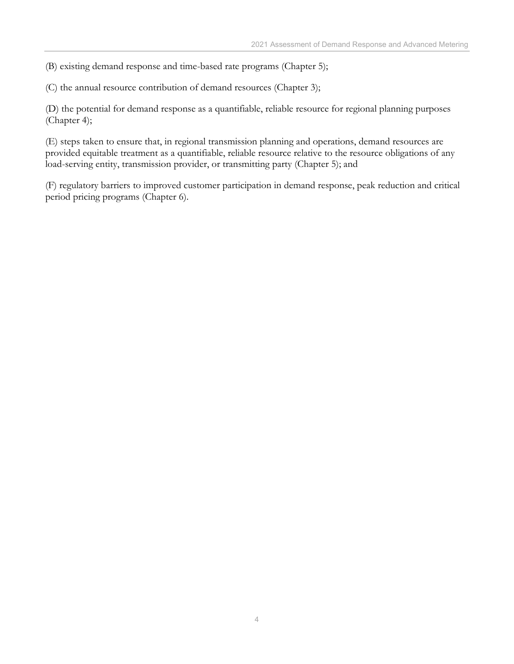(B) existing demand response and time-based rate programs (Chapter 5);

(C) the annual resource contribution of demand resources (Chapter 3);

(D) the potential for demand response as a quantifiable, reliable resource for regional planning purposes (Chapter 4);

(E) steps taken to ensure that, in regional transmission planning and operations, demand resources are provided equitable treatment as a quantifiable, reliable resource relative to the resource obligations of any load-serving entity, transmission provider, or transmitting party (Chapter 5); and

(F) regulatory barriers to improved customer participation in demand response, peak reduction and critical period pricing programs (Chapter 6).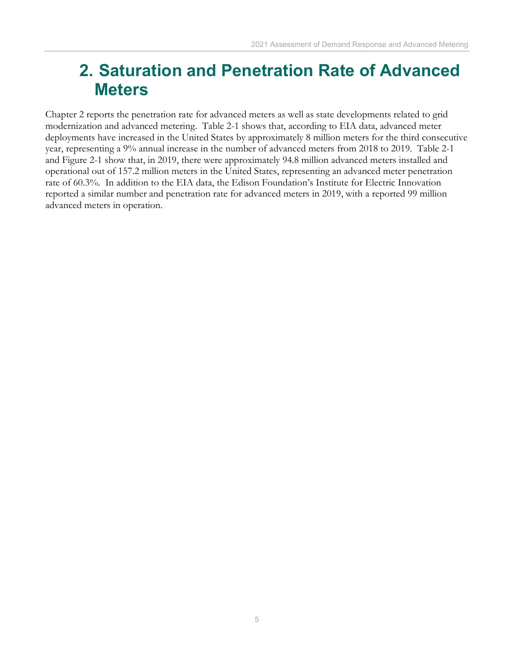## <span id="page-8-0"></span>**2. Saturation and Penetration Rate of Advanced Meters**

Chapter 2 reports the penetration rate for advanced meters as well as state developments related to grid modernization and advanced metering. Table 2-1 shows that, according to EIA data, advanced meter deployments have increased in the United States by approximately 8 million meters for the third consecutive year, representing a 9% annual increase in the number of advanced meters from 2018 to 2019. Table 2-1 and Figure 2-1 show that, in 2019, there were approximately 94.8 million advanced meters installed and operational out of 157.2 million meters in the United States, representing an advanced meter penetration rate of 60.3%. In addition to the EIA data, the Edison Foundation's Institute for Electric Innovation reported a similar number and penetration rate for advanced meters in 2019, with a reported 99 million advanced meters in operation.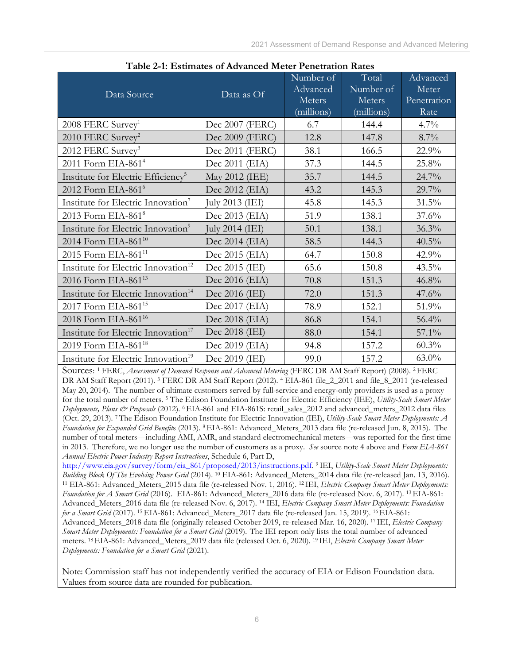| Data Source                                     | Data as Of        | Number of<br>Advanced<br>Meters<br>(millions) | Total<br>Number of<br>Meters<br>(millions) | Advanced<br>Meter<br>Penetration<br>Rate |
|-------------------------------------------------|-------------------|-----------------------------------------------|--------------------------------------------|------------------------------------------|
| $2008$ FERC Survey <sup>1</sup>                 | Dec 2007 (FERC)   | 6.7                                           | 144.4                                      | $4.7\%$                                  |
| 2010 FERC Survey <sup>2</sup>                   | Dec 2009 (FERC)   | 12.8                                          | 147.8                                      | $8.7\%$                                  |
| 2012 FERC Survey <sup>3</sup>                   | Dec 2011 (FERC)   | 38.1                                          | 166.5                                      | 22.9%                                    |
| 2011 Form EIA-861 <sup>4</sup>                  | Dec 2011 (EIA)    | 37.3                                          | 144.5                                      | 25.8%                                    |
| Institute for Electric Efficiency <sup>5</sup>  | May 2012 (IEE)    | 35.7                                          | 144.5                                      | 24.7%                                    |
| 2012 Form EIA-861 <sup>6</sup>                  | Dec 2012 (EIA)    | 43.2                                          | 145.3                                      | 29.7%                                    |
| Institute for Electric Innovation <sup>7</sup>  | July 2013 (IEI)   | 45.8                                          | 145.3                                      | 31.5%                                    |
| 2013 Form EIA-861 <sup>8</sup>                  | Dec 2013 (EIA)    | 51.9                                          | 138.1                                      | 37.6%                                    |
| Institute for Electric Innovation <sup>9</sup>  | July 2014 $(IEI)$ | 50.1                                          | 138.1                                      | 36.3%                                    |
| 2014 Form EIA-861 <sup>10</sup>                 | Dec 2014 (EIA)    | 58.5                                          | 144.3                                      | 40.5%                                    |
| 2015 Form EIA-861 <sup>11</sup>                 | Dec 2015 (EIA)    | 64.7                                          | 150.8                                      | 42.9%                                    |
| Institute for Electric Innovation <sup>12</sup> | Dec 2015 (IEI)    | 65.6                                          | 150.8                                      | 43.5%                                    |
| 2016 Form EIA-861 <sup>13</sup>                 | Dec 2016 (EIA)    | 70.8                                          | 151.3                                      | 46.8%                                    |
| Institute for Electric Innovation <sup>14</sup> | Dec 2016 (IEI)    | 72.0                                          | 151.3                                      | 47.6%                                    |
| 2017 Form EIA-861 <sup>15</sup>                 | Dec 2017 (EIA)    | 78.9                                          | 152.1                                      | 51.9%                                    |
| 2018 Form EIA-861 <sup>16</sup>                 | Dec 2018 (EIA)    | 86.8                                          | 154.1                                      | 56.4%                                    |
| Institute for Electric Innovation <sup>17</sup> | Dec 2018 (IEI)    | 88.0                                          | 154.1                                      | 57.1%                                    |
| 2019 Form EIA-861 <sup>18</sup>                 | Dec 2019 (EIA)    | 94.8                                          | 157.2                                      | 60.3%                                    |
| Institute for Electric Innovation <sup>19</sup> | Dec 2019 (IEI)    | 99.0                                          | 157.2                                      | $63.0\%$                                 |

 **Table 2-1: Estimates of Advanced Meter Penetration Rates**

Sources: <sup>1</sup> FERC, *Assessment of Demand Response and Advanced Metering* (FERC DR AM Staff Report) (2008). 2 FERC DR AM Staff Report (2011). <sup>3</sup> FERC DR AM Staff Report (2012). <sup>4</sup> EIA-861 file 2 2011 and file 8 2011 (re-released May 20, 2014). The number of ultimate customers served by full-service and energy-only providers is used as a proxy for the total number of meters. 5 The Edison Foundation Institute for Electric Efficiency (IEE), *Utility-Scale Smart Meter Deployments, Plans & Proposals* (2012). 6 EIA-861 and EIA-861S: retail\_sales\_2012 and advanced\_meters\_2012 data files (Oct. 29, 2013). 7 The Edison Foundation Institute for Electric Innovation (IEI), *Utility-Scale Smart Meter Deployments: A Foundation for Expanded Grid Benefit*s (2013). 8 EIA-861: Advanced\_Meters\_2013 data file (re-released Jun. 8, 2015). The number of total meters—including AMI, AMR, and standard electromechanical meters—was reported for the first time in 2013. Therefore, we no longer use the number of customers as a proxy. *See* source note 4 above and *Form EIA-861 Annual Electric Power Industry Report Instructions*, Schedule 6, Part D,

[http://www.eia.gov/survey/form/eia\\_861/proposed/2013/instructions.pdf.](http://www.eia.gov/survey/form/eia_861/proposed/2013/instructions.pdf) 9 IEI, *Utility-Scale Smart Meter Deployments:*  <sup>11</sup> EIA-861: Advanced\_Meters\_2015 data file (re-released Nov. 1, 2016). <sup>12</sup> IEI, Electric Company Smart Meter Deployments: *Foundation for A Smart Grid* (2016). EIA-861: Advanced\_Meters\_2016 data file (re-released Nov. 6, 2017). 13 EIA-861: Advanced\_Meters\_2016 data file (re-released Nov. 6, 2017). 14 IEI, *Electric Company Smart Meter Deployments: Foundation for a Smart Grid* (2017). 15 EIA-861: Advanced\_Meters\_2017 data file (re-released Jan. 15, 2019). 16 EIA-861: Advanced\_Meters\_2018 data file (originally released October 2019, re-released Mar. 16, 2020). 17 IEI, *Electric Company Smart Meter Deployments: Foundation for a Smart Grid* (2019). The IEI report only lists the total number of advanced meters. 18 EIA-861: Advanced\_Meters\_2019 data file (released Oct. 6, 2020). 19 IEI, *Electric Company Smart Meter Deployments: Foundation for a Smart Grid* (2021).

Note: Commission staff has not independently verified the accuracy of EIA or Edison Foundation data. Values from source data are rounded for publication.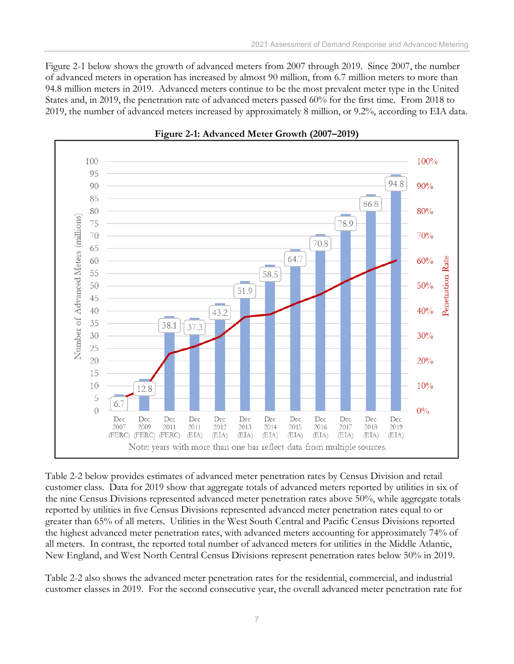Figure 2-1 below shows the growth of advanced meters from 2007 through 2019. Since 2007, the number of advanced meters in operation has increased by almost 90 million, from 6.7 million meters to more than 94.8 million meters in 2019. Advanced meters continue to be the most prevalent meter type in the United States and, in 2019, the penetration rate of advanced meters passed 60% for the first time. From 2018 to 2019, the number of advanced meters increased by approximately 8 million, or 9.2%, according to EIA data.





Table 2-2 below provides estimates of advanced meter penetration rates by Census Division and retail customer class. Data for 2019 show that aggregate totals of advanced meters reported by utilities in six of the nine Census Divisions represented advanced meter penetration rates above 50%, while aggregate totals reported by utilities in five Census Divisions represented advanced meter penetration rates equal to or greater than 65% of all meters. Utilities in the West South Central and Pacific Census Divisions reported the highest advanced meter penetration rates, with advanced meters accounting for approximately 74% of all meters. In contrast, the reported total number of advanced meters for utilities in the Middle Atlantic, New England, and West North Central Census Divisions represent penetration rates below 50% in 2019.

Table 2-2 also shows the advanced meter penetration rates for the residential, commercial, and industrial customer classes in 2019. For the second consecutive year, the overall advanced meter penetration rate for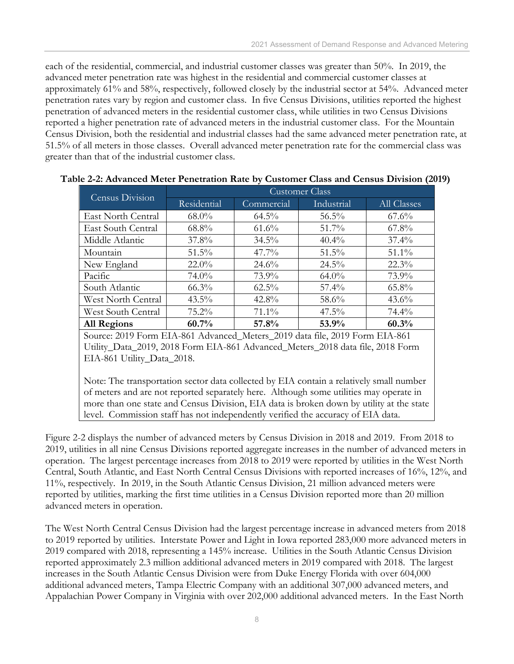each of the residential, commercial, and industrial customer classes was greater than 50%. In 2019, the advanced meter penetration rate was highest in the residential and commercial customer classes at approximately 61% and 58%, respectively, followed closely by the industrial sector at 54%. Advanced meter penetration rates vary by region and customer class. In five Census Divisions, utilities reported the highest penetration of advanced meters in the residential customer class, while utilities in two Census Divisions reported a higher penetration rate of advanced meters in the industrial customer class. For the Mountain Census Division, both the residential and industrial classes had the same advanced meter penetration rate, at 51.5% of all meters in those classes. Overall advanced meter penetration rate for the commercial class was greater than that of the industrial customer class.

| Census Division    | <b>Customer Class</b> |            |            |             |  |  |
|--------------------|-----------------------|------------|------------|-------------|--|--|
|                    | Residential           | Commercial | Industrial | All Classes |  |  |
| East North Central | $68.0\%$              | $64.5\%$   | $56.5\%$   | $67.6\%$    |  |  |
| East South Central | $68.8\%$              | $61.6\%$   | $51.7\%$   | $67.8\%$    |  |  |
| Middle Atlantic    | $37.8\%$              | $34.5\%$   | $40.4\%$   | $37.4\%$    |  |  |
| Mountain           | $51.5\%$              | $47.7\%$   | $51.5\%$   | $51.1\%$    |  |  |
| New England        | $22.0\%$              | $24.6\%$   | $24.5\%$   | $22.3\%$    |  |  |
| Pacific            | $74.0\%$              | 73.9%      | $64.0\%$   | 73.9%       |  |  |
| South Atlantic     | $66.3\%$              | $62.5\%$   | $57.4\%$   | $65.8\%$    |  |  |
| West North Central | $43.5\%$              | 42.8%      | 58.6%      | $43.6\%$    |  |  |
| West South Central | $75.2\%$              | $71.1\%$   | $47.5\%$   | $74.4\%$    |  |  |
| <b>All Regions</b> | 60.7%                 | 57.8%      | 53.9%      | 60.3%       |  |  |

#### **Table 2-2: Advanced Meter Penetration Rate by Customer Class and Census Division (2019)**

Source: 2019 Form EIA-861 Advanced\_Meters\_2019 data file, 2019 Form EIA-861 Utility\_Data\_2019, 2018 Form EIA-861 Advanced\_Meters\_2018 data file, 2018 Form EIA-861 Utility\_Data\_2018.

Note: The transportation sector data collected by EIA contain a relatively small number of meters and are not reported separately here. Although some utilities may operate in more than one state and Census Division, EIA data is broken down by utility at the state level. Commission staff has not independently verified the accuracy of EIA data.

Figure 2-2 displays the number of advanced meters by Census Division in 2018 and 2019. From 2018 to 2019, utilities in all nine Census Divisions reported aggregate increases in the number of advanced meters in operation. The largest percentage increases from 2018 to 2019 were reported by utilities in the West North Central, South Atlantic, and East North Central Census Divisions with reported increases of 16%, 12%, and 11%, respectively. In 2019, in the South Atlantic Census Division, 21 million advanced meters were reported by utilities, marking the first time utilities in a Census Division reported more than 20 million advanced meters in operation.

The West North Central Census Division had the largest percentage increase in advanced meters from 2018 to 2019 reported by utilities. Interstate Power and Light in Iowa reported 283,000 more advanced meters in 2019 compared with 2018, representing a 145% increase. Utilities in the South Atlantic Census Division reported approximately 2.3 million additional advanced meters in 2019 compared with 2018. The largest increases in the South Atlantic Census Division were from Duke Energy Florida with over 604,000 additional advanced meters, Tampa Electric Company with an additional 307,000 advanced meters, and Appalachian Power Company in Virginia with over 202,000 additional advanced meters. In the East North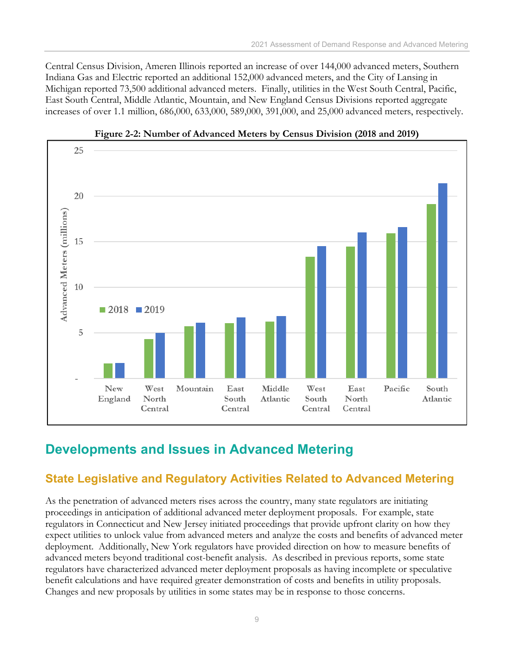Central Census Division, Ameren Illinois reported an increase of over 144,000 advanced meters, Southern Indiana Gas and Electric reported an additional 152,000 advanced meters, and the City of Lansing in Michigan reported 73,500 additional advanced meters. Finally, utilities in the West South Central, Pacific, East South Central, Middle Atlantic, Mountain, and New England Census Divisions reported aggregate increases of over 1.1 million, 686,000, 633,000, 589,000, 391,000, and 25,000 advanced meters, respectively.





## <span id="page-12-0"></span>**Developments and Issues in Advanced Metering**

### <span id="page-12-1"></span>**State Legislative and Regulatory Activities Related to Advanced Metering**

As the penetration of advanced meters rises across the country, many state regulators are initiating proceedings in anticipation of additional advanced meter deployment proposals. For example, state regulators in Connecticut and New Jersey initiated proceedings that provide upfront clarity on how they expect utilities to unlock value from advanced meters and analyze the costs and benefits of advanced meter deployment. Additionally, New York regulators have provided direction on how to measure benefits of advanced meters beyond traditional cost-benefit analysis. As described in previous reports, some state regulators have characterized advanced meter deployment proposals as having incomplete or speculative benefit calculations and have required greater demonstration of costs and benefits in utility proposals. Changes and new proposals by utilities in some states may be in response to those concerns.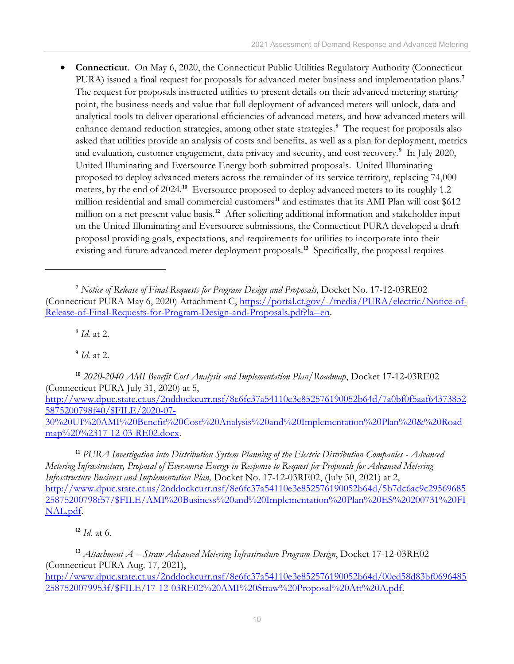• **Connecticut**. On May 6, 2020, the Connecticut Public Utilities Regulatory Authority (Connecticut PURA) issued a final request for proposals for advanced meter business and implementation plans.**[7](#page-13-0)** The request for proposals instructed utilities to present details on their advanced metering starting point, the business needs and value that full deployment of advanced meters will unlock, data and analytical tools to deliver operational efficiencies of advanced meters, and how advanced meters will enhance demand reduction strategies, among other state strategies.**[8](#page-13-1)** The request for proposals also asked that utilities provide an analysis of costs and benefits, as well as a plan for deployment, metrics and evaluation, customer engagement, data privacy and security, and cost recovery.**[9](#page-13-2)** In July 2020, United Illuminating and Eversource Energy both submitted proposals. United Illuminating proposed to deploy advanced meters across the remainder of its service territory, replacing 74,000 meters, by the end of 2024.**[10](#page-13-3)** Eversource proposed to deploy advanced meters to its roughly 1.2 million residential and small commercial customers<sup>[11](#page-13-4)</sup> and estimates that its AMI Plan will cost \$612 million on a net present value basis. **[12](#page-13-5)** After soliciting additional information and stakeholder input on the United Illuminating and Eversource submissions, the Connecticut PURA developed a draft proposal providing goals, expectations, and requirements for utilities to incorporate into their existing and future advanced meter deployment proposals. **[13](#page-13-6)** Specifically, the proposal requires

<sup>8</sup> *Id.* at 2.

**<sup>9</sup>** *Id.* at 2.

<span id="page-13-3"></span><span id="page-13-2"></span><span id="page-13-1"></span>**<sup>10</sup>** *2020-2040 AMI Benefit Cost Analysis and Implementation Plan/Roadmap*, Docket 17-12-03RE02 (Connecticut PURA July 31, 2020) at 5, [http://www.dpuc.state.ct.us/2nddockcurr.nsf/8e6fc37a54110e3e852576190052b64d/7a0bf0f5aaf64373852](http://www.dpuc.state.ct.us/2nddockcurr.nsf/8e6fc37a54110e3e852576190052b64d/7a0bf0f5aaf643738525875200798f40/$FILE/2020-07-30%20UI%20AMI%20Benefit%20Cost%20Analysis%20and%20Implementation%20Plan%20&%20Roadmap%20%2317-12-03-RE02.docx) [5875200798f40/\\$FILE/2020-07-](http://www.dpuc.state.ct.us/2nddockcurr.nsf/8e6fc37a54110e3e852576190052b64d/7a0bf0f5aaf643738525875200798f40/$FILE/2020-07-30%20UI%20AMI%20Benefit%20Cost%20Analysis%20and%20Implementation%20Plan%20&%20Roadmap%20%2317-12-03-RE02.docx) [30%20UI%20AMI%20Benefit%20Cost%20Analysis%20and%20Implementation%20Plan%20&%20Road](http://www.dpuc.state.ct.us/2nddockcurr.nsf/8e6fc37a54110e3e852576190052b64d/7a0bf0f5aaf643738525875200798f40/$FILE/2020-07-30%20UI%20AMI%20Benefit%20Cost%20Analysis%20and%20Implementation%20Plan%20&%20Roadmap%20%2317-12-03-RE02.docx) [map%20%2317-12-03-RE02.docx.](http://www.dpuc.state.ct.us/2nddockcurr.nsf/8e6fc37a54110e3e852576190052b64d/7a0bf0f5aaf643738525875200798f40/$FILE/2020-07-30%20UI%20AMI%20Benefit%20Cost%20Analysis%20and%20Implementation%20Plan%20&%20Roadmap%20%2317-12-03-RE02.docx)

<span id="page-13-4"></span>**<sup>11</sup>** *PURA Investigation into Distribution System Planning of the Electric Distribution Companies - Advanced Metering Infrastructure, Proposal of Eversource Energy in Response to Request for Proposals for Advanced Metering Infrastructure Business and Implementation Plan,* Docket No. 17-12-03RE02, (July 30, 2021) at 2, [http://www.dpuc.state.ct.us/2nddockcurr.nsf/8e6fc37a54110e3e852576190052b64d/5b7dc6ac9c29569685](http://www.dpuc.state.ct.us/2nddockcurr.nsf/8e6fc37a54110e3e852576190052b64d/5b7dc6ac9c2956968525875200798f57/$FILE/AMI%20Business%20and%20Implementation%20Plan%20ES%20200731%20FINAL.pdf) [25875200798f57/\\$FILE/AMI%20Business%20and%20Implementation%20Plan%20ES%20200731%20FI](http://www.dpuc.state.ct.us/2nddockcurr.nsf/8e6fc37a54110e3e852576190052b64d/5b7dc6ac9c2956968525875200798f57/$FILE/AMI%20Business%20and%20Implementation%20Plan%20ES%20200731%20FINAL.pdf) [NAL.pdf.](http://www.dpuc.state.ct.us/2nddockcurr.nsf/8e6fc37a54110e3e852576190052b64d/5b7dc6ac9c2956968525875200798f57/$FILE/AMI%20Business%20and%20Implementation%20Plan%20ES%20200731%20FINAL.pdf)

**<sup>12</sup>** *Id.* at 6.

<span id="page-13-6"></span><span id="page-13-5"></span>**<sup>13</sup>** *Attachment A – Straw Advanced Metering Infrastructure Program Design*, Docket 17-12-03RE02 (Connecticut PURA Aug. 17, 2021), [http://www.dpuc.state.ct.us/2nddockcurr.nsf/8e6fc37a54110e3e852576190052b64d/00ed58d83bf0696485](http://www.dpuc.state.ct.us/2nddockcurr.nsf/8e6fc37a54110e3e852576190052b64d/00ed58d83bf06964852587520079953f/$FILE/17-12-03RE02%20AMI%20Straw%20Proposal%20Att%20A.pdf) [2587520079953f/\\$FILE/17-12-03RE02%20AMI%20Straw%20Proposal%20Att%20A.pdf.](http://www.dpuc.state.ct.us/2nddockcurr.nsf/8e6fc37a54110e3e852576190052b64d/00ed58d83bf06964852587520079953f/$FILE/17-12-03RE02%20AMI%20Straw%20Proposal%20Att%20A.pdf)

<span id="page-13-0"></span>**<sup>7</sup>** *Notice of Release of Final Requests for Program Design and Proposals*, Docket No. 17-12-03RE02 (Connecticut PURA May 6, 2020) Attachment C, [https://portal.ct.gov/-/media/PURA/electric/Notice-of-](https://portal.ct.gov/-/media/PURA/electric/Notice-of-Release-of-Final-Requests-for-Program-Design-and-Proposals.pdf?la=en)[Release-of-Final-Requests-for-Program-Design-and-Proposals.pdf?la=en.](https://portal.ct.gov/-/media/PURA/electric/Notice-of-Release-of-Final-Requests-for-Program-Design-and-Proposals.pdf?la=en)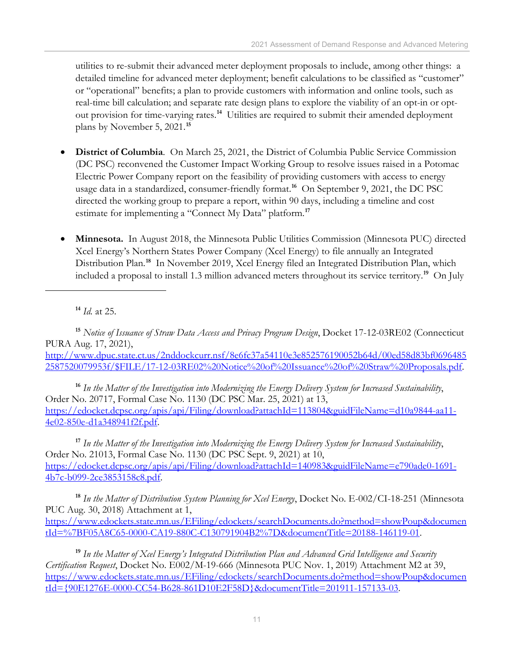utilities to re-submit their advanced meter deployment proposals to include, among other things: a detailed timeline for advanced meter deployment; benefit calculations to be classified as "customer" or "operational" benefits; a plan to provide customers with information and online tools, such as real-time bill calculation; and separate rate design plans to explore the viability of an opt-in or optout provision for time-varying rates.**[14](#page-14-0)** Utilities are required to submit their amended deployment plans by November 5, 2021.**[15](#page-14-1)**

- **District of Columbia**. On March 25, 2021, the District of Columbia Public Service Commission (DC PSC) reconvened the Customer Impact Working Group to resolve issues raised in a Potomac Electric Power Company report on the feasibility of providing customers with access to energy usage data in a standardized, consumer-friendly format. **[16](#page-14-2)** On September 9, 2021, the DC PSC directed the working group to prepare a report, within 90 days, including a timeline and cost estimate for implementing a "Connect My Data" platform. **[17](#page-14-3)**
- **Minnesota.** In August 2018, the Minnesota Public Utilities Commission (Minnesota PUC) directed Xcel Energy's Northern States Power Company (Xcel Energy) to file annually an Integrated Distribution Plan. **[18](#page-14-4)** In November 2019, Xcel Energy filed an Integrated Distribution Plan, which included a proposal to install 1.3 million advanced meters throughout its service territory. **[19](#page-14-5)** On July

**<sup>14</sup>** *Id.* at 25.

<span id="page-14-1"></span><span id="page-14-0"></span>**<sup>15</sup>** *Notice of Issuance of Straw Data Access and Privacy Program Design*, Docket 17-12-03RE02 (Connecticut PURA Aug. 17, 2021), [http://www.dpuc.state.ct.us/2nddockcurr.nsf/8e6fc37a54110e3e852576190052b64d/00ed58d83bf0696485](http://www.dpuc.state.ct.us/2nddockcurr.nsf/8e6fc37a54110e3e852576190052b64d/00ed58d83bf06964852587520079953f/$FILE/17-12-03RE02%20Notice%20of%20Issuance%20of%20Straw%20Proposals.pdf) [2587520079953f/\\$FILE/17-12-03RE02%20Notice%20of%20Issuance%20of%20Straw%20Proposals.pdf.](http://www.dpuc.state.ct.us/2nddockcurr.nsf/8e6fc37a54110e3e852576190052b64d/00ed58d83bf06964852587520079953f/$FILE/17-12-03RE02%20Notice%20of%20Issuance%20of%20Straw%20Proposals.pdf)

<span id="page-14-2"></span>**<sup>16</sup>** *In the Matter of the Investigation into Modernizing the Energy Delivery System for Increased Sustainability*, Order No. 20717, Formal Case No. 1130 (DC PSC Mar. 25, 2021) at 13, [https://edocket.dcpsc.org/apis/api/Filing/download?attachId=113804&guidFileName=d10a9844-aa11-](https://edocket.dcpsc.org/apis/api/Filing/download?attachId=113804&guidFileName=d10a9844-aa11-4e02-850e-d1a348941f2f.pdf) [4e02-850e-d1a348941f2f.pdf.](https://edocket.dcpsc.org/apis/api/Filing/download?attachId=113804&guidFileName=d10a9844-aa11-4e02-850e-d1a348941f2f.pdf)

<span id="page-14-3"></span>**<sup>17</sup>** *In the Matter of the Investigation into Modernizing the Energy Delivery System for Increased Sustainability*, Order No. 21013, Formal Case No. 1130 (DC PSC Sept. 9, 2021) at 10, [https://edocket.dcpsc.org/apis/api/Filing/download?attachId=140983&guidFileName=e790ade0-1691-](https://edocket.dcpsc.org/apis/api/Filing/download?attachId=140983&guidFileName=e790ade0-1691-4b7c-b099-2ce3853158c8.pdf) [4b7c-b099-2ce3853158c8.pdf.](https://edocket.dcpsc.org/apis/api/Filing/download?attachId=140983&guidFileName=e790ade0-1691-4b7c-b099-2ce3853158c8.pdf)

<span id="page-14-4"></span>**<sup>18</sup>** *In the Matter of Distribution System Planning for Xcel Energy*, Docket No. E-002/CI-18-251 (Minnesota PUC Aug. 30, 2018) Attachment at 1, [https://www.edockets.state.mn.us/EFiling/edockets/searchDocuments.do?method=showPoup&documen](https://www.edockets.state.mn.us/EFiling/edockets/searchDocuments.do?method=showPoup&documentId=%7BF05A8C65-0000-CA19-880C-C130791904B2%7D&documentTitle=20188-146119-01) [tId=%7BF05A8C65-0000-CA19-880C-C130791904B2%7D&documentTitle=20188-146119-01.](https://www.edockets.state.mn.us/EFiling/edockets/searchDocuments.do?method=showPoup&documentId=%7BF05A8C65-0000-CA19-880C-C130791904B2%7D&documentTitle=20188-146119-01)

<span id="page-14-5"></span>**<sup>19</sup>** *In the Matter of Xcel Energy's Integrated Distribution Plan and Advanced Grid Intelligence and Security Certification Request*, Docket No. E002/M-19-666 (Minnesota PUC Nov. 1, 2019) Attachment M2 at 39, [https://www.edockets.state.mn.us/EFiling/edockets/searchDocuments.do?method=showPoup&documen](https://www.edockets.state.mn.us/EFiling/edockets/searchDocuments.do?method=showPoup&documentId=%7b90E1276E-0000-CC54-B628-861D10E2F58D%7d&documentTitle=201911-157133-03) [tId={90E1276E-0000-CC54-B628-861D10E2F58D}&documentTitle=201911-157133-03.](https://www.edockets.state.mn.us/EFiling/edockets/searchDocuments.do?method=showPoup&documentId=%7b90E1276E-0000-CC54-B628-861D10E2F58D%7d&documentTitle=201911-157133-03)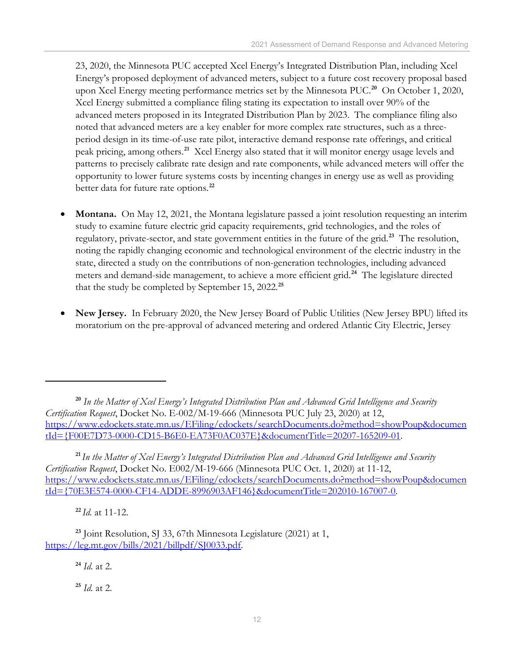23, 2020, the Minnesota PUC accepted Xcel Energy's Integrated Distribution Plan, including Xcel Energy's proposed deployment of advanced meters, subject to a future cost recovery proposal based upon Xcel Energy meeting performance metrics set by the Minnesota PUC. **[20](#page-15-0)** On October 1, 2020, Xcel Energy submitted a compliance filing stating its expectation to install over 90% of the advanced meters proposed in its Integrated Distribution Plan by 2023. The compliance filing also noted that advanced meters are a key enabler for more complex rate structures, such as a threeperiod design in its time-of-use rate pilot, interactive demand response rate offerings, and critical peak pricing, among others. **[21](#page-15-1)** Xcel Energy also stated that it will monitor energy usage levels and patterns to precisely calibrate rate design and rate components, while advanced meters will offer the opportunity to lower future systems costs by incenting changes in energy use as well as providing better data for future rate options. **[22](#page-15-2)**

- **Montana.** On May 12, 2021, the Montana legislature passed a joint resolution requesting an interim study to examine future electric grid capacity requirements, grid technologies, and the roles of regulatory, private-sector, and state government entities in the future of the grid.**[23](#page-15-3)** The resolution, noting the rapidly changing economic and technological environment of the electric industry in the state, directed a study on the contributions of non-generation technologies, including advanced meters and demand-side management, to achieve a more efficient grid.**[24](#page-15-4)** The legislature directed that the study be completed by September 15, 2022.**[25](#page-15-5)**
- **New Jersey.** In February 2020, the New Jersey Board of Public Utilities (New Jersey BPU) lifted its moratorium on the pre-approval of advanced metering and ordered Atlantic City Electric, Jersey

<span id="page-15-1"></span>**<sup>21</sup>** *In the Matter of Xcel Energy's Integrated Distribution Plan and Advanced Grid Intelligence and Security Certification Request*, Docket No. E002/M-19-666 (Minnesota PUC Oct. 1, 2020) at 11-12, [https://www.edockets.state.mn.us/EFiling/edockets/searchDocuments.do?method=showPoup&documen](https://www.edockets.state.mn.us/EFiling/edockets/searchDocuments.do?method=showPoup&documentId=%7b70E3E574-0000-CF14-ADDE-8996903AF146%7d&documentTitle=202010-167007-0) [tId={70E3E574-0000-CF14-ADDE-8996903AF146}&documentTitle=202010-167007-0.](https://www.edockets.state.mn.us/EFiling/edockets/searchDocuments.do?method=showPoup&documentId=%7b70E3E574-0000-CF14-ADDE-8996903AF146%7d&documentTitle=202010-167007-0)

**<sup>22</sup>** *Id.* at 11-12.

**<sup>24</sup>** *Id.* at 2.

**<sup>25</sup>** *Id.* at 2.

<span id="page-15-0"></span>**<sup>20</sup>** *In the Matter of Xcel Energy's Integrated Distribution Plan and Advanced Grid Intelligence and Security Certification Request*, Docket No. E-002/M-19-666 (Minnesota PUC July 23, 2020) at 12, [https://www.edockets.state.mn.us/EFiling/edockets/searchDocuments.do?method=showPoup&documen](https://www.edockets.state.mn.us/EFiling/edockets/searchDocuments.do?method=showPoup&documentId=%7bF00E7D73-0000-CD15-B6E0-EA73F0AC037E%7d&documentTitle=20207-165209-01) [tId={F00E7D73-0000-CD15-B6E0-EA73F0AC037E}&documentTitle=20207-165209-01.](https://www.edockets.state.mn.us/EFiling/edockets/searchDocuments.do?method=showPoup&documentId=%7bF00E7D73-0000-CD15-B6E0-EA73F0AC037E%7d&documentTitle=20207-165209-01)

<span id="page-15-5"></span><span id="page-15-4"></span><span id="page-15-3"></span><span id="page-15-2"></span>**<sup>23</sup>** Joint Resolution, SJ 33, 67th Minnesota Legislature (2021) at 1, [https://leg.mt.gov/bills/2021/billpdf/SJ0033.pdf.](https://leg.mt.gov/bills/2021/billpdf/SJ0033.pdf)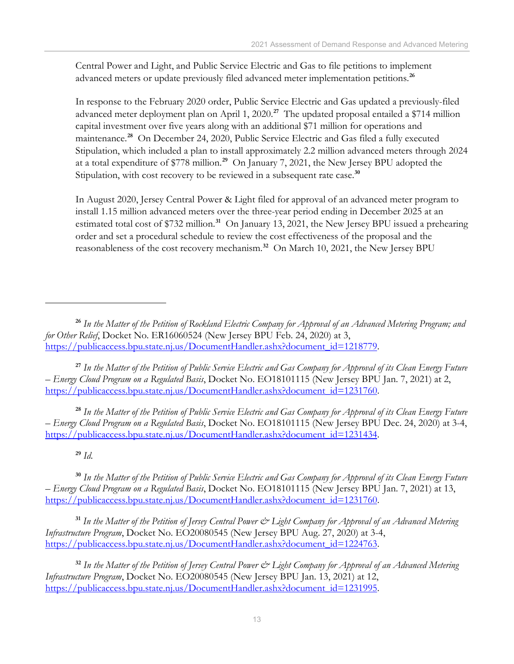Central Power and Light, and Public Service Electric and Gas to file petitions to implement advanced meters or update previously filed advanced meter implementation petitions.**[26](#page-16-0)**

In response to the February 2020 order, Public Service Electric and Gas updated a previously-filed advanced meter deployment plan on April 1, 2020. **[27](#page-16-1)** The updated proposal entailed a \$714 million capital investment over five years along with an additional \$71 million for operations and maintenance.**[28](#page-16-2)** On December 24, 2020, Public Service Electric and Gas filed a fully executed Stipulation, which included a plan to install approximately 2.2 million advanced meters through 2024 at a total expenditure of \$778 million. **[29](#page-16-3)** On January 7, 2021, the New Jersey BPU adopted the Stipulation, with cost recovery to be reviewed in a subsequent rate case. **[30](#page-16-4)**

In August 2020, Jersey Central Power & Light filed for approval of an advanced meter program to install 1.15 million advanced meters over the three-year period ending in December 2025 at an estimated total cost of \$732 million. **[31](#page-16-5)** On January 13, 2021, the New Jersey BPU issued a prehearing order and set a procedural schedule to review the cost effectiveness of the proposal and the reasonableness of the cost recovery mechanism.**[32](#page-16-6)** On March 10, 2021, the New Jersey BPU

<span id="page-16-1"></span>**<sup>27</sup>** *In the Matter of the Petition of Public Service Electric and Gas Company for Approval of its Clean Energy Future – Energy Cloud Program on a Regulated Basis*, Docket No. EO18101115 (New Jersey BPU Jan. 7, 2021) at 2, [https://publicaccess.bpu.state.nj.us/DocumentHandler.ashx?document\\_id=1231760.](https://publicaccess.bpu.state.nj.us/DocumentHandler.ashx?document_id=1231760)

<span id="page-16-2"></span>**<sup>28</sup>** *In the Matter of the Petition of Public Service Electric and Gas Company for Approval of its Clean Energy Future – Energy Cloud Program on a Regulated Basis*, Docket No. EO18101115 (New Jersey BPU Dec. 24, 2020) at 3-4, [https://publicaccess.bpu.state.nj.us/DocumentHandler.ashx?document\\_id=1231434.](https://publicaccess.bpu.state.nj.us/DocumentHandler.ashx?document_id=1231434)

**<sup>29</sup>** *Id.*

<span id="page-16-4"></span><span id="page-16-3"></span>**<sup>30</sup>** *In the Matter of the Petition of Public Service Electric and Gas Company for Approval of its Clean Energy Future – Energy Cloud Program on a Regulated Basis*, Docket No. EO18101115 (New Jersey BPU Jan. 7, 2021) at 13, [https://publicaccess.bpu.state.nj.us/DocumentHandler.ashx?document\\_id=1231760.](https://publicaccess.bpu.state.nj.us/DocumentHandler.ashx?document_id=1231760)

<span id="page-16-5"></span>**<sup>31</sup>** *In the Matter of the Petition of Jersey Central Power & Light Company for Approval of an Advanced Metering Infrastructure Program*, Docket No. EO20080545 (New Jersey BPU Aug. 27, 2020) at 3-4, [https://publicaccess.bpu.state.nj.us/DocumentHandler.ashx?document\\_id=1224763.](https://publicaccess.bpu.state.nj.us/DocumentHandler.ashx?document_id=1224763)

<span id="page-16-6"></span>**<sup>32</sup>** *In the Matter of the Petition of Jersey Central Power & Light Company for Approval of an Advanced Metering Infrastructure Program*, Docket No. EO20080545 (New Jersey BPU Jan. 13, 2021) at 12, [https://publicaccess.bpu.state.nj.us/DocumentHandler.ashx?document\\_id=1231995.](https://publicaccess.bpu.state.nj.us/DocumentHandler.ashx?document_id=1231995)

<span id="page-16-0"></span>**<sup>26</sup>** *In the Matter of the Petition of Rockland Electric Company for Approval of an Advanced Metering Program; and for Other Relief*, Docket No. ER16060524 (New Jersey BPU Feb. 24, 2020) at 3, [https://publicaccess.bpu.state.nj.us/DocumentHandler.ashx?document\\_id=1218779.](https://publicaccess.bpu.state.nj.us/DocumentHandler.ashx?document_id=1218779)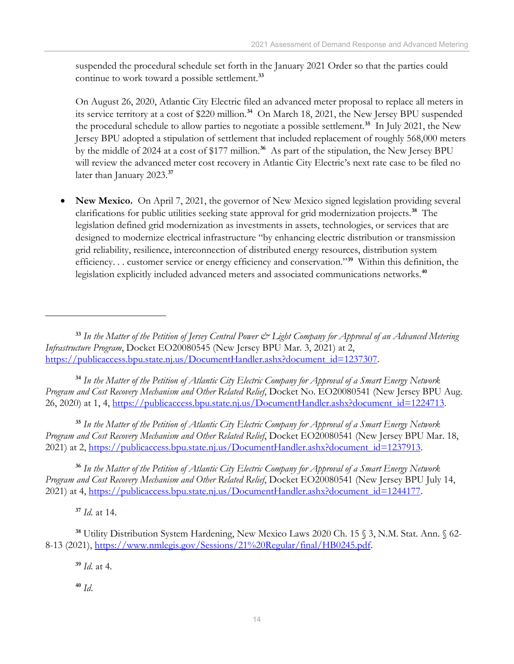suspended the procedural schedule set forth in the January 2021 Order so that the parties could continue to work toward a possible settlement.**[33](#page-17-0)**

On August 26, 2020, Atlantic City Electric filed an advanced meter proposal to replace all meters in its service territory at a cost of \$220 million. **[34](#page-17-1)** On March 18, 2021, the New Jersey BPU suspended the procedural schedule to allow parties to negotiate a possible settlement.**[35](#page-17-2)** In July 2021, the New Jersey BPU adopted a stipulation of settlement that included replacement of roughly 568,000 meters by the middle of 2024 at a cost of \$177 million.**[36](#page-17-3)** As part of the stipulation, the New Jersey BPU will review the advanced meter cost recovery in Atlantic City Electric's next rate case to be filed no later than January 2023.**[37](#page-17-4)**

• **New Mexico.** On April 7, 2021, the governor of New Mexico signed legislation providing several clarifications for public utilities seeking state approval for grid modernization projects.**[38](#page-17-5)** The legislation defined grid modernization as investments in assets, technologies, or services that are designed to modernize electrical infrastructure "by enhancing electric distribution or transmission grid reliability, resilience, interconnection of distributed energy resources, distribution system efficiency. . . customer service or energy efficiency and conservation."**[39](#page-17-6)** Within this definition, the legislation explicitly included advanced meters and associated communications networks.**[40](#page-17-7)**

<span id="page-17-1"></span>**<sup>34</sup>** *In the Matter of the Petition of Atlantic City Electric Company for Approval of a Smart Energy Network Program and Cost Recovery Mechanism and Other Related Relief*, Docket No. EO20080541 (New Jersey BPU Aug. 26, 2020) at 1, 4, [https://publicaccess.bpu.state.nj.us/DocumentHandler.ashx?document\\_id=1224713.](https://publicaccess.bpu.state.nj.us/DocumentHandler.ashx?document_id=1224713)

<span id="page-17-2"></span>**<sup>35</sup>** *In the Matter of the Petition of Atlantic City Electric Company for Approval of a Smart Energy Network Program and Cost Recovery Mechanism and Other Related Relief*, Docket EO20080541 (New Jersey BPU Mar. 18, 2021) at 2, [https://publicaccess.bpu.state.nj.us/DocumentHandler.ashx?document\\_id=1237913.](https://publicaccess.bpu.state.nj.us/DocumentHandler.ashx?document_id=1237913)

<span id="page-17-3"></span>**<sup>36</sup>** *In the Matter of the Petition of Atlantic City Electric Company for Approval of a Smart Energy Network Program and Cost Recovery Mechanism and Other Related Relief*, Docket EO20080541 (New Jersey BPU July 14, 2021) at 4, [https://publicaccess.bpu.state.nj.us/DocumentHandler.ashx?document\\_id=1244177.](https://publicaccess.bpu.state.nj.us/CaseSummary.aspx?case_id=2109377)

**<sup>37</sup>** *Id.* at 14.

**<sup>39</sup>** *Id.* at 4.

**<sup>40</sup>** *Id*.

<span id="page-17-0"></span>**<sup>33</sup>** *In the Matter of the Petition of Jersey Central Power & Light Company for Approval of an Advanced Metering Infrastructure Program*, Docket EO20080545 (New Jersey BPU Mar. 3, 2021) at 2, [https://publicaccess.bpu.state.nj.us/DocumentHandler.ashx?document\\_id=1237307.](https://publicaccess.bpu.state.nj.us/DocumentHandler.ashx?document_id=1237307)

<span id="page-17-7"></span><span id="page-17-6"></span><span id="page-17-5"></span><span id="page-17-4"></span>**<sup>38</sup>** Utility Distribution System Hardening, New Mexico Laws 2020 Ch. 15 § 3, N.M. Stat. Ann. § 62- 8-13 (2021), [https://www.nmlegis.gov/Sessions/21%20Regular/final/HB0245.pdf.](https://www.nmlegis.gov/Sessions/21%20Regular/final/HB0245.pdf)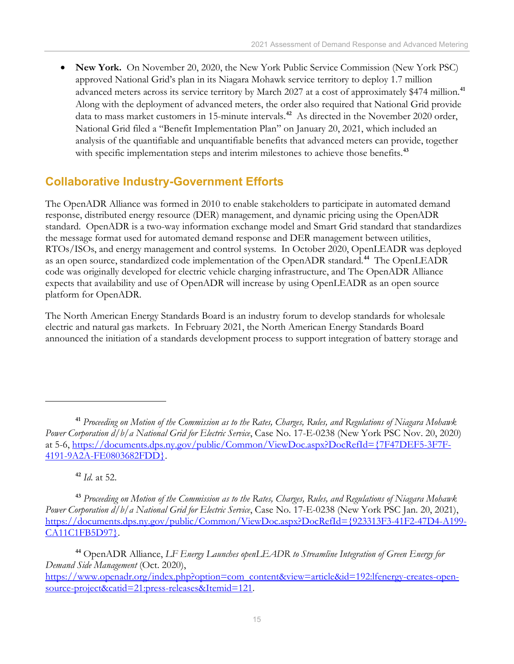• **New York.** On November 20, 2020, the New York Public Service Commission (New York PSC) approved National Grid's plan in its Niagara Mohawk service territory to deploy 1.7 million advanced meters across its service territory by March 2027 at a cost of approximately \$474 million.**[41](#page-18-1)** Along with the deployment of advanced meters, the order also required that National Grid provide data to mass market customers in 15-minute intervals.**[42](#page-18-2)** As directed in the November 2020 order, National Grid filed a "Benefit Implementation Plan" on January 20, 2021, which included an analysis of the quantifiable and unquantifiable benefits that advanced meters can provide, together with specific implementation steps and interim milestones to achieve those benefits.<sup>[43](#page-18-3)</sup>

### <span id="page-18-0"></span>**Collaborative Industry-Government Efforts**

The OpenADR Alliance was formed in 2010 to enable stakeholders to participate in automated demand response, distributed energy resource (DER) management, and dynamic pricing using the OpenADR standard. OpenADR is a two-way information exchange model and Smart Grid standard that standardizes the message format used for automated demand response and DER management between utilities, RTOs/ISOs, and energy management and control systems. In October 2020, OpenLEADR was deployed as an open source, standardized code implementation of the OpenADR standard.**[44](#page-18-4)** The OpenLEADR code was originally developed for electric vehicle charging infrastructure, and The OpenADR Alliance expects that availability and use of OpenADR will increase by using OpenLEADR as an open source platform for OpenADR.

The North American Energy Standards Board is an industry forum to develop standards for wholesale electric and natural gas markets. In February 2021, the North American Energy Standards Board announced the initiation of a standards development process to support integration of battery storage and

**<sup>42</sup>** *Id.* at 52.

<span id="page-18-3"></span><span id="page-18-2"></span>**<sup>43</sup>** *Proceeding on Motion of the Commission as to the Rates, Charges, Rules, and Regulations of Niagara Mohawk Power Corporation d/b/a National Grid for Electric Service*, Case No. 17-E-0238 (New York PSC Jan. 20, 2021), [https://documents.dps.ny.gov/public/Common/ViewDoc.aspx?DocRefId={923313F3-41F2-47D4-A199-](https://documents.dps.ny.gov/public/Common/ViewDoc.aspx?DocRefId=%7b923313F3-41F2-47D4-A199-CA11C1FB5D97%7d) [CA11C1FB5D97}.](https://documents.dps.ny.gov/public/Common/ViewDoc.aspx?DocRefId=%7b923313F3-41F2-47D4-A199-CA11C1FB5D97%7d)

<span id="page-18-4"></span>**<sup>44</sup>** OpenADR Alliance, *LF Energy Launches openLEADR to Streamline Integration of Green Energy for Demand Side Management* (Oct. 2020),

<span id="page-18-1"></span>**<sup>41</sup>** *Proceeding on Motion of the Commission as to the Rates, Charges, Rules, and Regulations of Niagara Mohawk Power Corporation d/b/a National Grid for Electric Service*, Case No. 17-E-0238 (New York PSC Nov. 20, 2020) at 5-6, [https://documents.dps.ny.gov/public/Common/ViewDoc.aspx?DocRefId={7F47DEF5-3F7F-](https://documents.dps.ny.gov/public/Common/ViewDoc.aspx?DocRefId=%7b7F47DEF5-3F7F-4191-9A2A-FE0803682FDD%7d)[4191-9A2A-FE0803682FDD}.](https://documents.dps.ny.gov/public/Common/ViewDoc.aspx?DocRefId=%7b7F47DEF5-3F7F-4191-9A2A-FE0803682FDD%7d)

[https://www.openadr.org/index.php?option=com\\_content&view=article&id=192:lfenergy-creates-open](https://www.openadr.org/index.php?option=com_content&view=article&id=192:lfenergy-creates-open-source-project&catid=21:press-releases&Itemid=121)[source-project&catid=21:press-releases&Itemid=121.](https://www.openadr.org/index.php?option=com_content&view=article&id=192:lfenergy-creates-open-source-project&catid=21:press-releases&Itemid=121)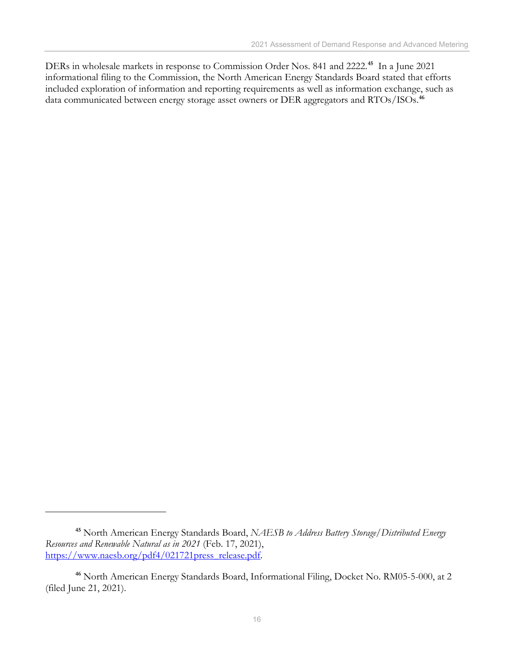DERs in wholesale markets in response to Commission Order Nos. 841 and 2222.**[45](#page-19-0)** In a June 2021 informational filing to the Commission, the North American Energy Standards Board stated that efforts included exploration of information and reporting requirements as well as information exchange, such as data communicated between energy storage asset owners or DER aggregators and RTOs/ISOs.**[46](#page-19-1)**

<span id="page-19-0"></span>**<sup>45</sup>** North American Energy Standards Board, *NAESB to Address Battery Storage/Distributed Energy Resources and Renewable Natural as in 2021* (Feb. 17, 2021), [https://www.naesb.org/pdf4/021721press\\_release.pdf.](https://www.naesb.org/pdf4/021721press_release.pdf)

<span id="page-19-1"></span>**<sup>46</sup>** North American Energy Standards Board, Informational Filing, Docket No. RM05-5-000, at 2 (filed June 21, 2021).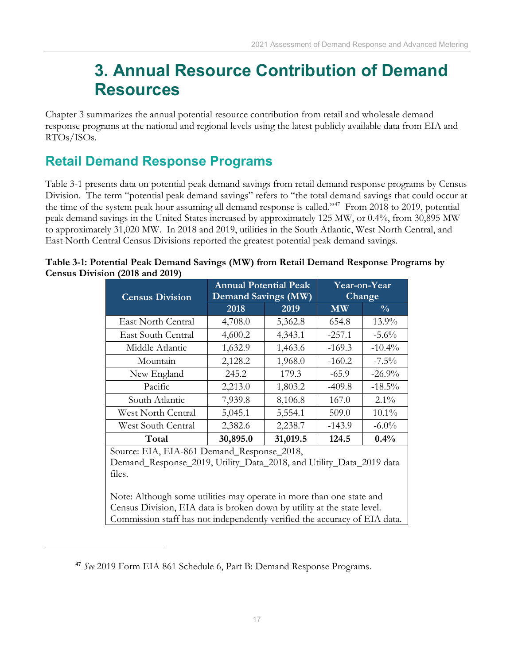## **3. Annual Resource Contribution of Demand Resources**

<span id="page-20-0"></span>Chapter 3 summarizes the annual potential resource contribution from retail and wholesale demand response programs at the national and regional levels using the latest publicly available data from EIA and RTOs/ISOs.

## <span id="page-20-1"></span>**Retail Demand Response Programs**

Table 3-1 presents data on potential peak demand savings from retail demand response programs by Census Division. The term "potential peak demand savings" refers to "the total demand savings that could occur at the time of the system peak hour assuming all demand response is called."<sup>[47](#page-20-2)</sup> From 2018 to 2019, potential peak demand savings in the United States increased by approximately 125 MW, or 0.4%, from 30,895 MW to approximately 31,020 MW. In 2018 and 2019, utilities in the South Atlantic, West North Central, and East North Central Census Divisions reported the greatest potential peak demand savings.

| <b>Census Division</b> | <b>Annual Potential Peak</b><br><b>Demand Savings (MW)</b>          |          | Year-on-Year<br>Change |               |  |  |
|------------------------|---------------------------------------------------------------------|----------|------------------------|---------------|--|--|
|                        | 2018                                                                | 2019     | <b>MW</b>              | $\frac{0}{0}$ |  |  |
| East North Central     | 4,708.0                                                             | 5,362.8  | 654.8                  | $13.9\%$      |  |  |
| East South Central     | 4,600.2                                                             | 4,343.1  | $-257.1$               | $-5.6\%$      |  |  |
| Middle Atlantic        | 1,632.9                                                             | 1,463.6  | $-169.3$               | $-10.4\%$     |  |  |
| Mountain               | 2,128.2                                                             | 1,968.0  | $-160.2$               | $-7.5\%$      |  |  |
| New England            | 245.2                                                               | 179.3    | $-65.9$                | $-26.9\%$     |  |  |
| Pacific                | 2,213.0                                                             | 1,803.2  | $-409.8$               | $-18.5\%$     |  |  |
| South Atlantic         | 7,939.8                                                             | 8,106.8  | 167.0                  | $2.1\%$       |  |  |
| West North Central     | 5,045.1                                                             | 5,554.1  | 509.0                  | $10.1\%$      |  |  |
| West South Central     | 2,382.6                                                             | 2,238.7  | $-143.9$               | $-6.0\%$      |  |  |
| Total                  | 30,895.0                                                            | 31,019.5 | 124.5                  | 0.4%          |  |  |
|                        | Source: EIA, EIA-861 Demand_Response_2018,                          |          |                        |               |  |  |
|                        | Demand_Response_2019, Utility_Data_2018, and Utility_Data_2019 data |          |                        |               |  |  |
| files.                 |                                                                     |          |                        |               |  |  |

| Table 3-1: Potential Peak Demand Savings (MW) from Retail Demand Response Programs by |  |  |
|---------------------------------------------------------------------------------------|--|--|
| Census Division (2018 and 2019)                                                       |  |  |

Note: Although some utilities may operate in more than one state and Census Division, EIA data is broken down by utility at the state level. Commission staff has not independently verified the accuracy of EIA data.

<span id="page-20-2"></span>**<sup>47</sup>** *See* 2019 Form EIA 861 Schedule 6, Part B: Demand Response Programs.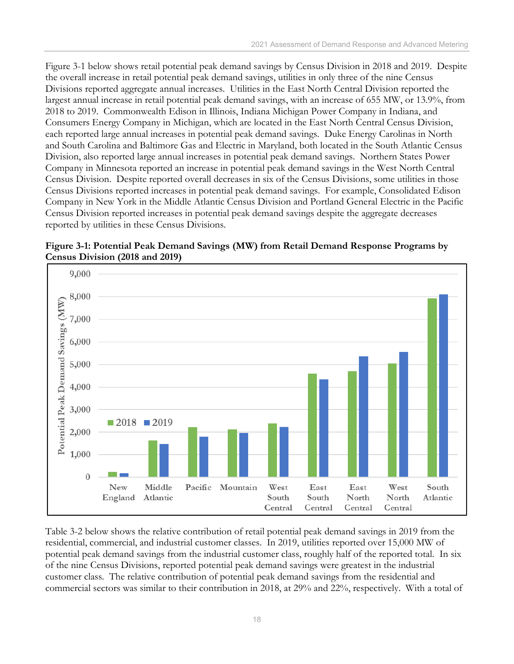Figure 3-1 below shows retail potential peak demand savings by Census Division in 2018 and 2019. Despite the overall increase in retail potential peak demand savings, utilities in only three of the nine Census Divisions reported aggregate annual increases. Utilities in the East North Central Division reported the largest annual increase in retail potential peak demand savings, with an increase of 655 MW, or 13.9%, from 2018 to 2019. Commonwealth Edison in Illinois, Indiana Michigan Power Company in Indiana, and Consumers Energy Company in Michigan, which are located in the East North Central Census Division, each reported large annual increases in potential peak demand savings. Duke Energy Carolinas in North and South Carolina and Baltimore Gas and Electric in Maryland, both located in the South Atlantic Census Division, also reported large annual increases in potential peak demand savings. Northern States Power Company in Minnesota reported an increase in potential peak demand savings in the West North Central Census Division. Despite reported overall decreases in six of the Census Divisions, some utilities in those Census Divisions reported increases in potential peak demand savings. For example, Consolidated Edison Company in New York in the Middle Atlantic Census Division and Portland General Electric in the Pacific Census Division reported increases in potential peak demand savings despite the aggregate decreases reported by utilities in these Census Divisions.





Table 3-2 below shows the relative contribution of retail potential peak demand savings in 2019 from the residential, commercial, and industrial customer classes. In 2019, utilities reported over 15,000 MW of potential peak demand savings from the industrial customer class, roughly half of the reported total. In six of the nine Census Divisions, reported potential peak demand savings were greatest in the industrial customer class. The relative contribution of potential peak demand savings from the residential and commercial sectors was similar to their contribution in 2018, at 29% and 22%, respectively. With a total of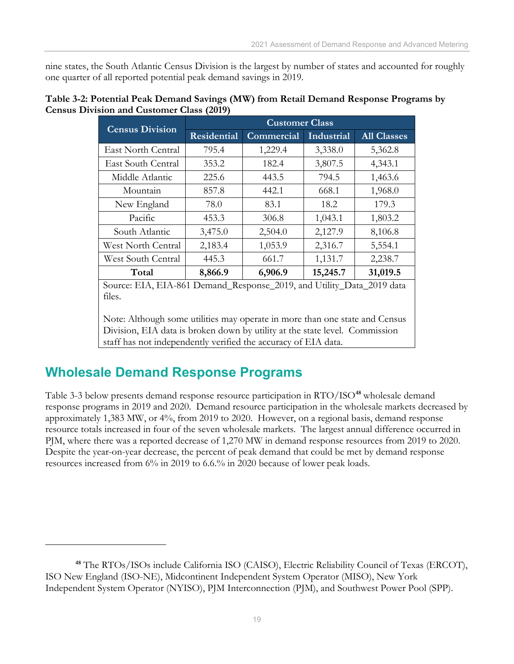nine states, the South Atlantic Census Division is the largest by number of states and accounted for roughly one quarter of all reported potential peak demand savings in 2019.

| Table 3-2: Potential Peak Demand Savings (MW) from Retail Demand Response Programs by |  |
|---------------------------------------------------------------------------------------|--|
| <b>Census Division and Customer Class (2019)</b>                                      |  |

| <b>Census Division</b> | <b>Customer Class</b>        |            |                      |                    |  |  |
|------------------------|------------------------------|------------|----------------------|--------------------|--|--|
|                        | <b>Residential</b>           | Commercial | Industrial           | <b>All Classes</b> |  |  |
| East North Central     | 795.4                        | 1,229.4    | 3,338.0              | 5,362.8            |  |  |
| East South Central     | 353.2                        | 182.4      | 3,807.5              | 4,343.1            |  |  |
| Middle Atlantic        | 225.6                        | 443.5      | 794.5                | 1,463.6            |  |  |
| Mountain               | 857.8                        | 442.1      | 668.1                | 1,968.0            |  |  |
| New England            | 78.0                         | 83.1       | 18.2                 | 179.3              |  |  |
| Pacific                | 453.3                        | 306.8      | 1,043.1              | 1,803.2            |  |  |
| South Atlantic         | 3,475.0                      | 2,504.0    | 2,127.9              | 8,106.8            |  |  |
| West North Central     | 2,183.4                      | 1,053.9    | 2,316.7              | 5,554.1            |  |  |
| West South Central     | 445.3                        | 661.7      | 1,131.7              | 2,238.7            |  |  |
| Total                  | 8,866.9                      | 6,906.9    | 15,245.7             | 31,019.5           |  |  |
| Source: ELA            | EIA-861 Demand Response 2019 |            | and Utility<br>12afa | 2019 data          |  |  |

Source: EIA, EIA-861 Demand\_Response\_2019, and Utility\_Data\_2019 data files.

Note: Although some utilities may operate in more than one state and Census Division, EIA data is broken down by utility at the state level. Commission staff has not independently verified the accuracy of EIA data.

## <span id="page-22-0"></span>**Wholesale Demand Response Programs**

Table 3-3 below presents demand response resource participation in RTO/ISO**[48](#page-22-1)** wholesale demand response programs in 2019 and 2020. Demand resource participation in the wholesale markets decreased by approximately 1,383 MW, or 4%, from 2019 to 2020. However, on a regional basis, demand response resource totals increased in four of the seven wholesale markets. The largest annual difference occurred in PJM, where there was a reported decrease of 1,270 MW in demand response resources from 2019 to 2020. Despite the year-on-year decrease, the percent of peak demand that could be met by demand response resources increased from 6% in 2019 to 6.6.% in 2020 because of lower peak loads.

<span id="page-22-1"></span>**<sup>48</sup>** The RTOs/ISOs include California ISO (CAISO), Electric Reliability Council of Texas (ERCOT), ISO New England (ISO-NE), Midcontinent Independent System Operator (MISO), New York Independent System Operator (NYISO), PJM Interconnection (PJM), and Southwest Power Pool (SPP).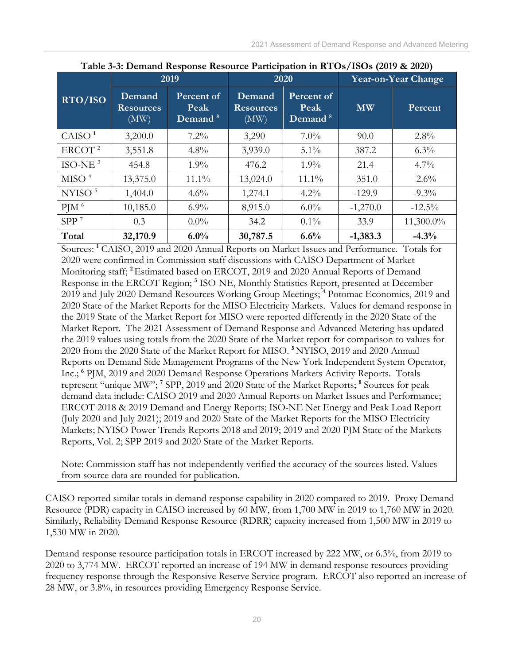|                    | Table 5-9. Definance response resource I anticipation in RTOs/TOOs (2017 & 2020) |                                           |                                    |                                           |                            |           |  |
|--------------------|----------------------------------------------------------------------------------|-------------------------------------------|------------------------------------|-------------------------------------------|----------------------------|-----------|--|
|                    |                                                                                  | 2019                                      | 2020                               |                                           | <b>Year-on-Year Change</b> |           |  |
| RTO/ISO            | Demand<br><b>Resources</b><br>(MW)                                               | Percent of<br>Peak<br>Demand <sup>8</sup> | Demand<br><b>Resources</b><br>(MW) | Percent of<br>Peak<br>Demand <sup>8</sup> | <b>MW</b>                  | Percent   |  |
| CAISO <sup>1</sup> | 3,200.0                                                                          | $7.2\%$                                   | 3,290                              | $7.0\%$                                   | 90.0                       | $2.8\%$   |  |
| ERCOT <sup>2</sup> | 3,551.8                                                                          | $4.8\%$                                   | 3,939.0                            | $5.1\%$                                   | 387.2                      | $6.3\%$   |  |
| $ISO-NE3$          | 454.8                                                                            | $1.9\%$                                   | 476.2                              | $1.9\%$                                   | 21.4                       | $4.7\%$   |  |
| MISO <sup>4</sup>  | 13,375.0                                                                         | $11.1\%$                                  | 13,024.0                           | $11.1\%$                                  | $-351.0$                   | $-2.6\%$  |  |
| NYISO $5$          | 1,404.0                                                                          | $4.6\%$                                   | 1,274.1                            | $4.2\%$                                   | $-129.9$                   | $-9.3\%$  |  |
| $P$ JM $6$         | 10,185.0                                                                         | $6.9\%$                                   | 8,915.0                            | $6.0\%$                                   | $-1,270.0$                 | $-12.5\%$ |  |
| SPP <sup>7</sup>   | 0.3                                                                              | $0.0\%$                                   | 34.2                               | $0.1\%$                                   | 33.9                       | 11,300.0% |  |
| Total              | 32,170.9                                                                         | 6.0%                                      | 30,787.5                           | 6.6%                                      | $-1,383.3$                 | $-4.3%$   |  |

|  | Table 3-3: Demand Response Resource Participation in RTOs/ISOs (2019 & 2020) |  |  |
|--|------------------------------------------------------------------------------|--|--|
|--|------------------------------------------------------------------------------|--|--|

Sources: **<sup>1</sup>** CAISO, 2019 and 2020 Annual Reports on Market Issues and Performance. Totals for 2020 were confirmed in Commission staff discussions with CAISO Department of Market Monitoring staff; **<sup>2</sup>**Estimated based on ERCOT, 2019 and 2020 Annual Reports of Demand Response in the ERCOT Region; **<sup>3</sup>** ISO-NE, Monthly Statistics Report, presented at December 2019 and July 2020 Demand Resources Working Group Meetings; **<sup>4</sup>** Potomac Economics, 2019 and 2020 State of the Market Reports for the MISO Electricity Markets. Values for demand response in the 2019 State of the Market Report for MISO were reported differently in the 2020 State of the Market Report. The 2021 Assessment of Demand Response and Advanced Metering has updated the 2019 values using totals from the 2020 State of the Market report for comparison to values for 2020 from the 2020 State of the Market Report for MISO. **<sup>5</sup>**NYISO, 2019 and 2020 Annual Reports on Demand Side Management Programs of the New York Independent System Operator, Inc.; **<sup>6</sup>** PJM, 2019 and 2020 Demand Response Operations Markets Activity Reports. Totals represent "unique MW"; **<sup>7</sup>** SPP, 2019 and 2020 State of the Market Reports; **<sup>8</sup>** Sources for peak demand data include: CAISO 2019 and 2020 Annual Reports on Market Issues and Performance; ERCOT 2018 & 2019 Demand and Energy Reports; ISO-NE Net Energy and Peak Load Report (July 2020 and July 2021); 2019 and 2020 State of the Market Reports for the MISO Electricity Markets; NYISO Power Trends Reports 2018 and 2019; 2019 and 2020 PJM State of the Markets Reports, Vol. 2; SPP 2019 and 2020 State of the Market Reports.

Note: Commission staff has not independently verified the accuracy of the sources listed. Values from source data are rounded for publication.

CAISO reported similar totals in demand response capability in 2020 compared to 2019. Proxy Demand Resource (PDR) capacity in CAISO increased by 60 MW, from 1,700 MW in 2019 to 1,760 MW in 2020. Similarly, Reliability Demand Response Resource (RDRR) capacity increased from 1,500 MW in 2019 to 1,530 MW in 2020.

Demand response resource participation totals in ERCOT increased by 222 MW, or 6.3%, from 2019 to 2020 to 3,774 MW. ERCOT reported an increase of 194 MW in demand response resources providing frequency response through the Responsive Reserve Service program. ERCOT also reported an increase of 28 MW, or 3.8%, in resources providing Emergency Response Service.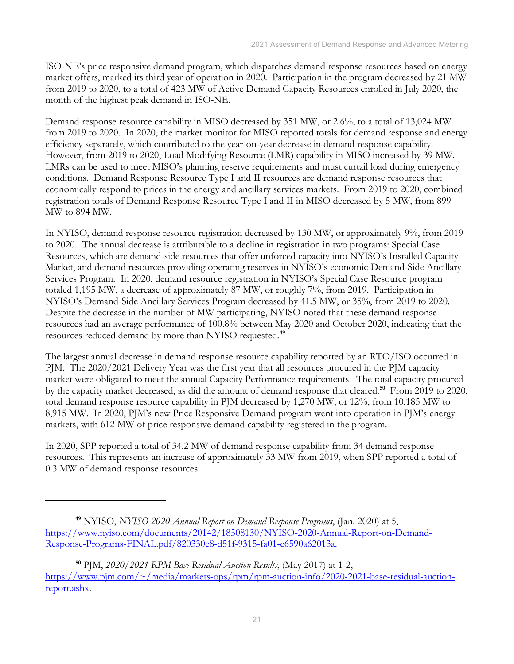ISO-NE's price responsive demand program, which dispatches demand response resources based on energy market offers, marked its third year of operation in 2020. Participation in the program decreased by 21 MW from 2019 to 2020, to a total of 423 MW of Active Demand Capacity Resources enrolled in July 2020, the month of the highest peak demand in ISO-NE.

Demand response resource capability in MISO decreased by 351 MW, or 2.6%, to a total of 13,024 MW from 2019 to 2020. In 2020, the market monitor for MISO reported totals for demand response and energy efficiency separately, which contributed to the year-on-year decrease in demand response capability. However, from 2019 to 2020, Load Modifying Resource (LMR) capability in MISO increased by 39 MW. LMRs can be used to meet MISO's planning reserve requirements and must curtail load during emergency conditions. Demand Response Resource Type I and II resources are demand response resources that economically respond to prices in the energy and ancillary services markets. From 2019 to 2020, combined registration totals of Demand Response Resource Type I and II in MISO decreased by 5 MW, from 899 MW to 894 MW.

In NYISO, demand response resource registration decreased by 130 MW, or approximately 9%, from 2019 to 2020. The annual decrease is attributable to a decline in registration in two programs: Special Case Resources, which are demand-side resources that offer unforced capacity into NYISO's Installed Capacity Market, and demand resources providing operating reserves in NYISO's economic Demand-Side Ancillary Services Program. In 2020, demand resource registration in NYISO's Special Case Resource program totaled 1,195 MW, a decrease of approximately 87 MW, or roughly 7%, from 2019. Participation in NYISO's Demand-Side Ancillary Services Program decreased by 41.5 MW, or 35%, from 2019 to 2020. Despite the decrease in the number of MW participating, NYISO noted that these demand response resources had an average performance of 100.8% between May 2020 and October 2020, indicating that the resources reduced demand by more than NYISO requested. **[49](#page-24-0)**

The largest annual decrease in demand response resource capability reported by an RTO/ISO occurred in PJM. The 2020/2021 Delivery Year was the first year that all resources procured in the PJM capacity market were obligated to meet the annual Capacity Performance requirements. The total capacity procured by the capacity market decreased, as did the amount of demand response that cleared.**[50](#page-24-1)** From 2019 to 2020, total demand response resource capability in PJM decreased by 1,270 MW, or 12%, from 10,185 MW to 8,915 MW. In 2020, PJM's new Price Responsive Demand program went into operation in PJM's energy markets, with 612 MW of price responsive demand capability registered in the program.

In 2020, SPP reported a total of 34.2 MW of demand response capability from 34 demand response resources. This represents an increase of approximately 33 MW from 2019, when SPP reported a total of 0.3 MW of demand response resources.

<span id="page-24-0"></span>**<sup>49</sup>** NYISO, *NYISO 2020 Annual Report on Demand Response Programs*, (Jan. 2020) at 5, [https://www.nyiso.com/documents/20142/18508130/NYISO-2020-Annual-Report-on-Demand-](https://www.nyiso.com/documents/20142/18508130/NYISO-2020-Annual-Report-on-Demand-Response-Programs-FINAL.pdf/820330e8-d51f-9315-fa01-c6590a62013a)[Response-Programs-FINAL.pdf/820330e8-d51f-9315-fa01-c6590a62013a.](https://www.nyiso.com/documents/20142/18508130/NYISO-2020-Annual-Report-on-Demand-Response-Programs-FINAL.pdf/820330e8-d51f-9315-fa01-c6590a62013a)

<span id="page-24-1"></span>**<sup>50</sup>** PJM, *2020/2021 RPM Base Residual Auction Results*, (May 2017) at 1-2, [https://www.pjm.com/~/media/markets-ops/rpm/rpm-auction-info/2020-2021-base-residual-auction](https://www.pjm.com/%7E/media/markets-ops/rpm/rpm-auction-info/2020-2021-base-residual-auction-report.ashx)[report.ashx.](https://www.pjm.com/%7E/media/markets-ops/rpm/rpm-auction-info/2020-2021-base-residual-auction-report.ashx)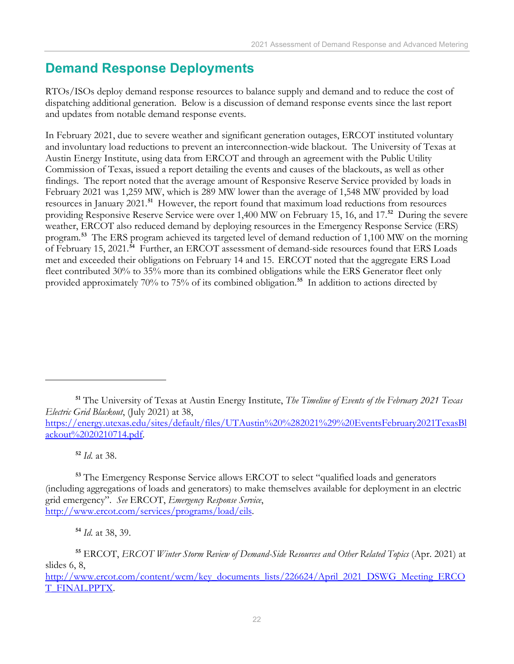## <span id="page-25-0"></span>**Demand Response Deployments**

RTOs/ISOs deploy demand response resources to balance supply and demand and to reduce the cost of dispatching additional generation. Below is a discussion of demand response events since the last report and updates from notable demand response events.

In February 2021, due to severe weather and significant generation outages, ERCOT instituted voluntary and involuntary load reductions to prevent an interconnection-wide blackout. The University of Texas at Austin Energy Institute, using data from ERCOT and through an agreement with the Public Utility Commission of Texas, issued a report detailing the events and causes of the blackouts, as well as other findings. The report noted that the average amount of Responsive Reserve Service provided by loads in February 2021 was 1,259 MW, which is 289 MW lower than the average of 1,548 MW provided by load resources in January 2021.**[51](#page-25-1)** However, the report found that maximum load reductions from resources providing Responsive Reserve Service were over 1,400 MW on February 15, 16, and 17.**[52](#page-25-2)** During the severe weather, ERCOT also reduced demand by deploying resources in the Emergency Response Service (ERS) program. **[53](#page-25-3)** The ERS program achieved its targeted level of demand reduction of 1,100 MW on the morning of February 15, 2021. **[54](#page-25-4)** Further, an ERCOT assessment of demand-side resources found that ERS Loads met and exceeded their obligations on February 14 and 15. ERCOT noted that the aggregate ERS Load fleet contributed 30% to 35% more than its combined obligations while the ERS Generator fleet only provided approximately 70% to 75% of its combined obligation.**[55](#page-25-5)** In addition to actions directed by

**<sup>52</sup>** *Id.* at 38.

**<sup>54</sup>** *Id.* at 38, 39.

<span id="page-25-1"></span>**<sup>51</sup>** The University of Texas at Austin Energy Institute, *The Timeline of Events of the February 2021 Texas Electric Grid Blackout*, (July 2021) at 38,

[https://energy.utexas.edu/sites/default/files/UTAustin%20%282021%29%20EventsFebruary2021TexasBl](https://energy.utexas.edu/sites/default/files/UTAustin%20%282021%29%20EventsFebruary2021TexasBlackout%2020210714.pdf) [ackout%2020210714.pdf.](https://energy.utexas.edu/sites/default/files/UTAustin%20%282021%29%20EventsFebruary2021TexasBlackout%2020210714.pdf)

<span id="page-25-3"></span><span id="page-25-2"></span>**<sup>53</sup>** The Emergency Response Service allows ERCOT to select "qualified loads and generators (including aggregations of loads and generators) to make themselves available for deployment in an electric grid emergency". *See* ERCOT, *Emergency Response Service*, [http://www.ercot.com/services/programs/load/eils.](http://www.ercot.com/services/programs/load/eils)

<span id="page-25-5"></span><span id="page-25-4"></span>**<sup>55</sup>** ERCOT, *ERCOT Winter Storm Review of Demand-Side Resources and Other Related Topics* (Apr. 2021) at slides 6, 8,

[http://www.ercot.com/content/wcm/key\\_documents\\_lists/226624/April\\_2021\\_DSWG\\_Meeting\\_ERCO](http://www.ercot.com/content/wcm/key_documents_lists/226624/April_2021_DSWG_Meeting_ERCOT_FINAL.PPTX) [T\\_FINAL.PPTX.](http://www.ercot.com/content/wcm/key_documents_lists/226624/April_2021_DSWG_Meeting_ERCOT_FINAL.PPTX)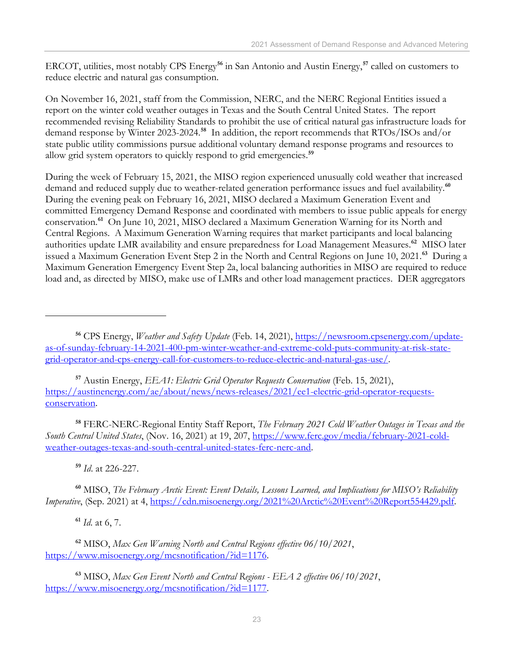ERCOT, utilities, most notably CPS Energy**[56](#page-26-0)** in San Antonio and Austin Energy, **[57](#page-26-1)** called on customers to reduce electric and natural gas consumption.

On November 16, 2021, staff from the Commission, NERC, and the NERC Regional Entities issued a report on the winter cold weather outages in Texas and the South Central United States. The report recommended revising Reliability Standards to prohibit the use of critical natural gas infrastructure loads for demand response by Winter 2023-2024. **[58](#page-26-2)** In addition, the report recommends that RTOs/ISOs and/or state public utility commissions pursue additional voluntary demand response programs and resources to allow grid system operators to quickly respond to grid emergencies.**[59](#page-26-3)**

During the week of February 15, 2021, the MISO region experienced unusually cold weather that increased demand and reduced supply due to weather-related generation performance issues and fuel availability.**[60](#page-26-4)** During the evening peak on February 16, 2021, MISO declared a Maximum Generation Event and committed Emergency Demand Response and coordinated with members to issue public appeals for energy conservation.**[61](#page-26-5)** On June 10, 2021, MISO declared a Maximum Generation Warning for its North and Central Regions. A Maximum Generation Warning requires that market participants and local balancing authorities update LMR availability and ensure preparedness for Load Management Measures.**[62](#page-26-6)** MISO later issued a Maximum Generation Event Step 2 in the North and Central Regions on June 10, 2021. **[63](#page-26-7)** During a Maximum Generation Emergency Event Step 2a, local balancing authorities in MISO are required to reduce load and, as directed by MISO, make use of LMRs and other load management practices. DER aggregators

<span id="page-26-1"></span>**<sup>57</sup>** Austin Energy, *EEA1: Electric Grid Operator Requests Conservation* (Feb. 15, 2021), [https://austinenergy.com/ae/about/news/news-releases/2021/ee1-electric-grid-operator-requests](https://austinenergy.com/ae/about/news/news-releases/2021/ee1-electric-grid-operator-requests-conservation)[conservation.](https://austinenergy.com/ae/about/news/news-releases/2021/ee1-electric-grid-operator-requests-conservation)

<span id="page-26-2"></span>**<sup>58</sup>** FERC-NERC-Regional Entity Staff Report, *The February 2021 Cold Weather Outages in Texas and the South Central United States*, (Nov. 16, 2021) at 19, 207, [https://www.ferc.gov/media/february-2021-cold](https://www.ferc.gov/media/february-2021-cold-weather-outages-texas-and-south-central-united-states-ferc-nerc-and)[weather-outages-texas-and-south-central-united-states-ferc-nerc-and.](https://www.ferc.gov/media/february-2021-cold-weather-outages-texas-and-south-central-united-states-ferc-nerc-and)

**<sup>59</sup>** *Id*. at 226-227.

<span id="page-26-4"></span><span id="page-26-3"></span>**<sup>60</sup>** MISO, *The February Arctic Event: Event Details, Lessons Learned, and Implications for MISO's Reliability Imperative*, (Sep. 2021) at 4, [https://cdn.misoenergy.org/2021%20Arctic%20Event%20Report554429.pdf.](https://cdn.misoenergy.org/2021%20Arctic%20Event%20Report554429.pdf)

**<sup>61</sup>** *Id*. at 6, 7.

<span id="page-26-6"></span><span id="page-26-5"></span>**<sup>62</sup>** MISO, *Max Gen Warning North and Central Regions effective 06/10/2021*, [https://www.misoenergy.org/mcsnotification/?id=1176.](https://www.misoenergy.org/mcsnotification/?id=1176)

<span id="page-26-7"></span>**<sup>63</sup>** MISO, *Max Gen Event North and Central Regions - EEA 2 effective 06/10/2021*, [https://www.misoenergy.org/mcsnotification/?id=1177.](https://www.misoenergy.org/mcsnotification/?id=1177)

<span id="page-26-0"></span>**<sup>56</sup>** CPS Energy, *Weather and Safety Update* (Feb. 14, 2021), [https://newsroom.cpsenergy.com/update](https://newsroom.cpsenergy.com/update-as-of-sunday-february-14-2021-400-pm-winter-weather-and-extreme-cold-puts-community-at-risk-state-grid-operator-and-cps-energy-call-for-customers-to-reduce-electric-and-natural-gas-use/)[as-of-sunday-february-14-2021-400-pm-winter-weather-and-extreme-cold-puts-community-at-risk-state](https://newsroom.cpsenergy.com/update-as-of-sunday-february-14-2021-400-pm-winter-weather-and-extreme-cold-puts-community-at-risk-state-grid-operator-and-cps-energy-call-for-customers-to-reduce-electric-and-natural-gas-use/)[grid-operator-and-cps-energy-call-for-customers-to-reduce-electric-and-natural-gas-use/.](https://newsroom.cpsenergy.com/update-as-of-sunday-february-14-2021-400-pm-winter-weather-and-extreme-cold-puts-community-at-risk-state-grid-operator-and-cps-energy-call-for-customers-to-reduce-electric-and-natural-gas-use/)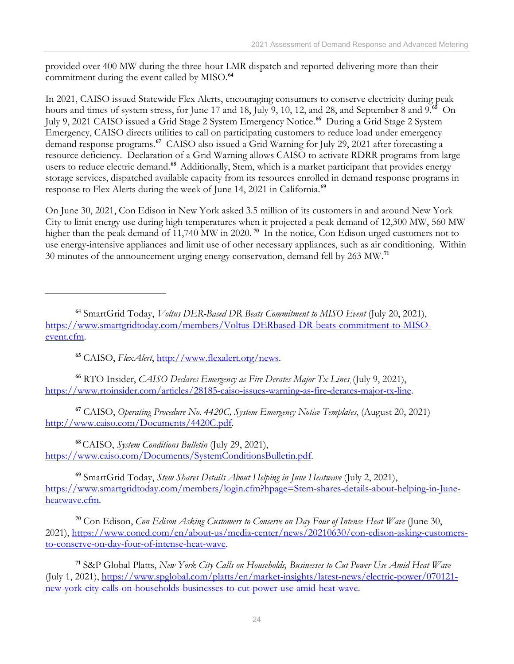provided over 400 MW during the three-hour LMR dispatch and reported delivering more than their commitment during the event called by MISO.**[64](#page-27-0)**

In 2021, CAISO issued Statewide Flex Alerts, encouraging consumers to conserve electricity during peak hours and times of system stress, for June 17 and 18, July 9, 10, 12, and 28, and September 8 and 9. **[65](#page-27-1)** On July 9, 2021 CAISO issued a Grid Stage 2 System Emergency Notice. **[66](#page-27-2)** During a Grid Stage 2 System Emergency, CAISO directs utilities to call on participating customers to reduce load under emergency demand response programs.**[67](#page-27-3)** CAISO also issued a Grid Warning for July 29, 2021 after forecasting a resource deficiency. Declaration of a Grid Warning allows CAISO to activate RDRR programs from large users to reduce electric demand. **[68](#page-27-4)** Additionally, Stem, which is a market participant that provides energy storage services, dispatched available capacity from its resources enrolled in demand response programs in response to Flex Alerts during the week of June 14, 2021 in California.**[69](#page-27-5)**

On June 30, 2021, Con Edison in New York asked 3.5 million of its customers in and around New York City to limit energy use during high temperatures when it projected a peak demand of 12,300 MW, 560 MW higher than the peak demand of 11,740 MW in 2020.<sup>[70](#page-27-6)</sup> In the notice, Con Edison urged customers not to use energy-intensive appliances and limit use of other necessary appliances, such as air conditioning. Within 30 minutes of the announcement urging energy conservation, demand fell by 263 MW.**[71](#page-27-7)**

**<sup>65</sup>** CAISO, *FlexAlert*, [http://www.flexalert.org/news.](http://www.flexalert.org/news)

<span id="page-27-2"></span><span id="page-27-1"></span>**<sup>66</sup>** RTO Insider, *CAISO Declares Emergency as Fire Derates Major Tx Lines¸*(July 9, 2021), [https://www.rtoinsider.com/articles/28185-caiso-issues-warning-as-fire-derates-major-tx-line.](https://www.rtoinsider.com/articles/28185-caiso-issues-warning-as-fire-derates-major-tx-line)

<span id="page-27-3"></span>**<sup>67</sup>** CAISO, *Operating Procedure No. 4420C, System Emergency Notice Templates*, (August 20, 2021) [http://www.caiso.com/Documents/4420C.pdf.](http://www.caiso.com/Documents/4420C.pdf)

<span id="page-27-4"></span>**<sup>68</sup>**CAISO, *System Conditions Bulletin* (July 29, 2021), [https://www.caiso.com/Documents/SystemConditionsBulletin.pdf.](https://www.caiso.com/Documents/SystemConditionsBulletin.pdf)

<span id="page-27-5"></span>**<sup>69</sup>** SmartGrid Today, *Stem Shares Details About Helping in June Heatwave* (July 2, 2021), [https://www.smartgridtoday.com/members/login.cfm?hpage=Stem-shares-details-about-helping-in-June](https://www.smartgridtoday.com/members/login.cfm?hpage=Stem-shares-details-about-helping-in-June-heatwave.cfm)[heatwave.cfm.](https://www.smartgridtoday.com/members/login.cfm?hpage=Stem-shares-details-about-helping-in-June-heatwave.cfm)

<span id="page-27-6"></span>**<sup>70</sup>** Con Edison, *Con Edison Asking Customers to Conserve on Day Four of Intense Heat Wave* (June 30, 2021), [https://www.coned.com/en/about-us/media-center/news/20210630/con-edison-asking-customers](https://www.coned.com/en/about-us/media-center/news/20210630/con-edison-asking-customers-to-conserve-on-day-four-of-intense-heat-wave)[to-conserve-on-day-four-of-intense-heat-wave.](https://www.coned.com/en/about-us/media-center/news/20210630/con-edison-asking-customers-to-conserve-on-day-four-of-intense-heat-wave)

<span id="page-27-7"></span>**<sup>71</sup>** S&P Global Platts, *New York City Calls on Households, Businesses to Cut Power Use Amid Heat Wave* (July 1, 2021), [https://www.spglobal.com/platts/en/market-insights/latest-news/electric-power/070121](https://www.spglobal.com/platts/en/market-insights/latest-news/electric-power/070121-new-york-city-calls-on-households-businesses-to-cut-power-use-amid-heat-wave) [new-york-city-calls-on-households-businesses-to-cut-power-use-amid-heat-wave.](https://www.spglobal.com/platts/en/market-insights/latest-news/electric-power/070121-new-york-city-calls-on-households-businesses-to-cut-power-use-amid-heat-wave)

<span id="page-27-0"></span>**<sup>64</sup>** SmartGrid Today, *Voltus DER-Based DR Beats Commitment to MISO Event* (July 20, 2021), [https://www.smartgridtoday.com/members/Voltus-DERbased-DR-beats-commitment-to-MISO](https://www.smartgridtoday.com/members/Voltus-DERbased-DR-beats-commitment-to-MISO-event.cfm)[event.cfm.](https://www.smartgridtoday.com/members/Voltus-DERbased-DR-beats-commitment-to-MISO-event.cfm)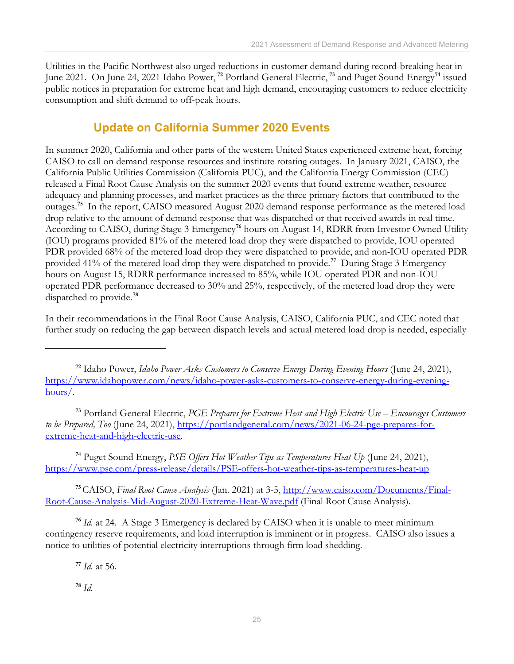Utilities in the Pacific Northwest also urged reductions in customer demand during record-breaking heat in June 2021. On June 24, 2021 Idaho Power, **[72](#page-28-1)** Portland General Electric, **[73](#page-28-2)** and Puget Sound Energy**[74](#page-28-3)** issued public notices in preparation for extreme heat and high demand, encouraging customers to reduce electricity consumption and shift demand to off-peak hours.

### **Update on California Summer 2020 Events**

<span id="page-28-0"></span>In summer 2020, California and other parts of the western United States experienced extreme heat, forcing CAISO to call on demand response resources and institute rotating outages. In January 2021, CAISO, the California Public Utilities Commission (California PUC), and the California Energy Commission (CEC) released a Final Root Cause Analysis on the summer 2020 events that found extreme weather, resource adequacy and planning processes, and market practices as the three primary factors that contributed to the outages.**[75](#page-28-4)** In the report, CAISO measured August 2020 demand response performance as the metered load drop relative to the amount of demand response that was dispatched or that received awards in real time. According to CAISO, during Stage 3 Emergency**[76](#page-28-5)** hours on August 14, RDRR from Investor Owned Utility (IOU) programs provided 81% of the metered load drop they were dispatched to provide, IOU operated PDR provided 68% of the metered load drop they were dispatched to provide, and non-IOU operated PDR provided 41% of the metered load drop they were dispatched to provide.**[77](#page-28-6)** During Stage 3 Emergency hours on August 15, RDRR performance increased to 85%, while IOU operated PDR and non-IOU operated PDR performance decreased to 30% and 25%, respectively, of the metered load drop they were dispatched to provide.**[78](#page-28-7)**

In their recommendations in the Final Root Cause Analysis, CAISO, California PUC, and CEC noted that further study on reducing the gap between dispatch levels and actual metered load drop is needed, especially

<span id="page-28-2"></span>**<sup>73</sup>** Portland General Electric, *PGE Prepares for Extreme Heat and High Electric Use – Encourages Customers to be Prepared, Too* (June 24, 2021), [https://portlandgeneral.com/news/2021-06-24-pge-prepares-for](https://portlandgeneral.com/news/2021-06-24-pge-prepares-for-extreme-heat-and-high-electric-use)[extreme-heat-and-high-electric-use.](https://portlandgeneral.com/news/2021-06-24-pge-prepares-for-extreme-heat-and-high-electric-use)

<span id="page-28-3"></span>**<sup>74</sup>** Puget Sound Energy, *PSE Offers Hot Weather Tips as Temperatures Heat Up* (June 24, 2021), <https://www.pse.com/press-release/details/PSE-offers-hot-weather-tips-as-temperatures-heat-up>

<span id="page-28-4"></span>**<sup>75</sup>**CAISO, *Final Root Cause Analysis* (Jan. 2021) at 3-5, [http://www.caiso.com/Documents/Final-](http://www.caiso.com/Documents/Final-Root-Cause-Analysis-Mid-August-2020-Extreme-Heat-Wave.pdf)[Root-Cause-Analysis-Mid-August-2020-Extreme-Heat-Wave.pdf](http://www.caiso.com/Documents/Final-Root-Cause-Analysis-Mid-August-2020-Extreme-Heat-Wave.pdf) (Final Root Cause Analysis).

<span id="page-28-6"></span><span id="page-28-5"></span>**<sup>76</sup>** *Id.* at 24. A Stage 3 Emergency is declared by CAISO when it is unable to meet minimum contingency reserve requirements, and load interruption is imminent or in progress. CAISO also issues a notice to utilities of potential electricity interruptions through firm load shedding.

**<sup>77</sup>** *Id.* at 56.

<span id="page-28-7"></span>**<sup>78</sup>** *Id.*

<span id="page-28-1"></span>**<sup>72</sup>** Idaho Power, *Idaho Power Asks Customers to Conserve Energy During Evening Hours* (June 24, 2021), [https://www.idahopower.com/news/idaho-power-asks-customers-to-conserve-energy-during-evening](https://www.idahopower.com/news/idaho-power-asks-customers-to-conserve-energy-during-evening-hours/)[hours/.](https://www.idahopower.com/news/idaho-power-asks-customers-to-conserve-energy-during-evening-hours/)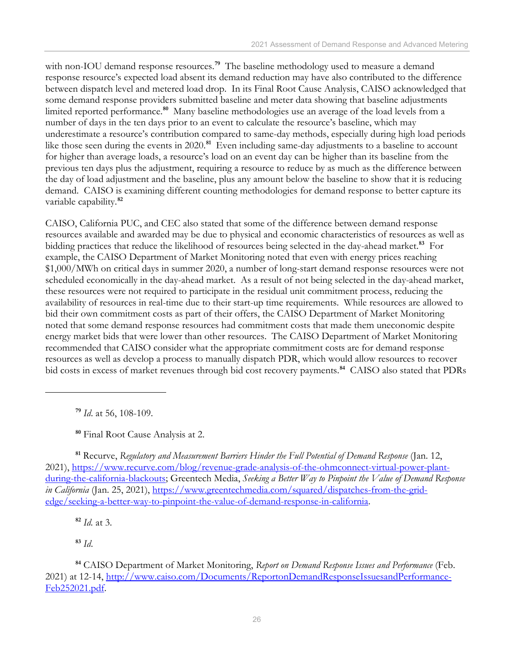with non-IOU demand response resources.<sup>[79](#page-29-0)</sup> The baseline methodology used to measure a demand response resource's expected load absent its demand reduction may have also contributed to the difference between dispatch level and metered load drop. In its Final Root Cause Analysis, CAISO acknowledged that some demand response providers submitted baseline and meter data showing that baseline adjustments limited reported performance.**[80](#page-29-1)** Many baseline methodologies use an average of the load levels from a number of days in the ten days prior to an event to calculate the resource's baseline, which may underestimate a resource's contribution compared to same-day methods, especially during high load periods like those seen during the events in 2020.<sup>[81](#page-29-2)</sup> Even including same-day adjustments to a baseline to account for higher than average loads, a resource's load on an event day can be higher than its baseline from the previous ten days plus the adjustment, requiring a resource to reduce by as much as the difference between the day of load adjustment and the baseline, plus any amount below the baseline to show that it is reducing demand. CAISO is examining different counting methodologies for demand response to better capture its variable capability.**[82](#page-29-3)**

CAISO, California PUC, and CEC also stated that some of the difference between demand response resources available and awarded may be due to physical and economic characteristics of resources as well as bidding practices that reduce the likelihood of resources being selected in the day-ahead market.**[83](#page-29-4)** For example, the CAISO Department of Market Monitoring noted that even with energy prices reaching \$1,000/MWh on critical days in summer 2020, a number of long-start demand response resources were not scheduled economically in the day-ahead market. As a result of not being selected in the day-ahead market, these resources were not required to participate in the residual unit commitment process, reducing the availability of resources in real-time due to their start-up time requirements. While resources are allowed to bid their own commitment costs as part of their offers, the CAISO Department of Market Monitoring noted that some demand response resources had commitment costs that made them uneconomic despite energy market bids that were lower than other resources. The CAISO Department of Market Monitoring recommended that CAISO consider what the appropriate commitment costs are for demand response resources as well as develop a process to manually dispatch PDR, which would allow resources to recover bid costs in excess of market revenues through bid cost recovery payments. **[84](#page-29-5)** CAISO also stated that PDRs

**<sup>79</sup>** *Id*. at 56, 108-109.

**<sup>80</sup>** Final Root Cause Analysis at 2.

<span id="page-29-2"></span><span id="page-29-1"></span><span id="page-29-0"></span>**<sup>81</sup>** Recurve, *Regulatory and Measurement Barriers Hinder the Full Potential of Demand Response* (Jan. 12, 2021), [https://www.recurve.com/blog/revenue-grade-analysis-of-the-ohmconnect-virtual-power-plant](https://www.recurve.com/blog/revenue-grade-analysis-of-the-ohmconnect-virtual-power-plant-during-the-california-blackouts)[during-the-california-blackouts;](https://www.recurve.com/blog/revenue-grade-analysis-of-the-ohmconnect-virtual-power-plant-during-the-california-blackouts) Greentech Media, *Seeking a Better Way to Pinpoint the Value of Demand Response in California* (Jan. 25, 2021), [https://www.greentechmedia.com/squared/dispatches-from-the-grid](https://www.greentechmedia.com/squared/dispatches-from-the-grid-edge/seeking-a-better-way-to-pinpoint-the-value-of-demand-response-in-california)[edge/seeking-a-better-way-to-pinpoint-the-value-of-demand-response-in-california.](https://www.greentechmedia.com/squared/dispatches-from-the-grid-edge/seeking-a-better-way-to-pinpoint-the-value-of-demand-response-in-california)

**<sup>82</sup>** *Id.* at 3.

**<sup>83</sup>** *Id*.

<span id="page-29-5"></span><span id="page-29-4"></span><span id="page-29-3"></span>**<sup>84</sup>** CAISO Department of Market Monitoring, *Report on Demand Response Issues and Performance* (Feb. 2021) at 12-14, [http://www.caiso.com/Documents/ReportonDemandResponseIssuesandPerformance-](http://www.caiso.com/Documents/ReportonDemandResponseIssuesandPerformance-Feb252021.pdf)[Feb252021.pdf.](http://www.caiso.com/Documents/ReportonDemandResponseIssuesandPerformance-Feb252021.pdf)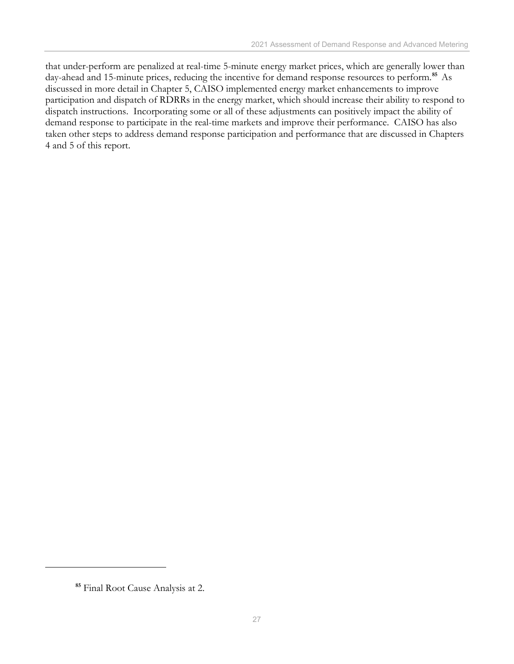that under-perform are penalized at real-time 5-minute energy market prices, which are generally lower than day-ahead and 15-minute prices, reducing the incentive for demand response resources to perform.**[85](#page-30-0)** As discussed in more detail in Chapter 5, CAISO implemented energy market enhancements to improve participation and dispatch of RDRRs in the energy market, which should increase their ability to respond to dispatch instructions. Incorporating some or all of these adjustments can positively impact the ability of demand response to participate in the real-time markets and improve their performance. CAISO has also taken other steps to address demand response participation and performance that are discussed in Chapters 4 and 5 of this report.

<span id="page-30-0"></span>**<sup>85</sup>** Final Root Cause Analysis at 2.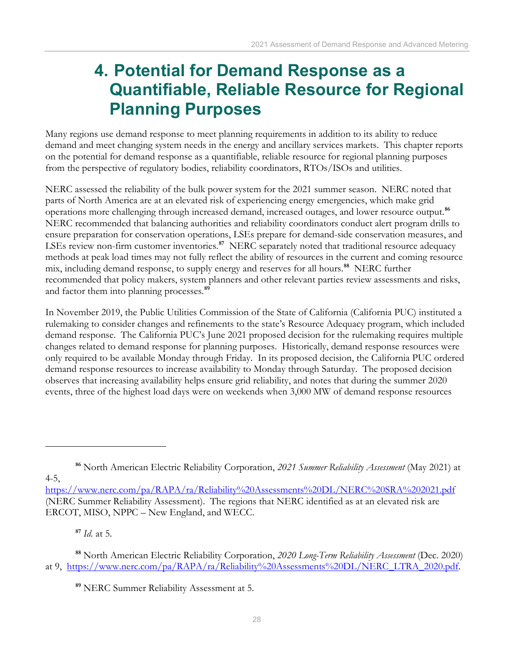## <span id="page-31-0"></span>**4. Potential for Demand Response as a Quantifiable, Reliable Resource for Regional Planning Purposes**

Many regions use demand response to meet planning requirements in addition to its ability to reduce demand and meet changing system needs in the energy and ancillary services markets. This chapter reports on the potential for demand response as a quantifiable, reliable resource for regional planning purposes from the perspective of regulatory bodies, reliability coordinators, RTOs/ISOs and utilities.

NERC assessed the reliability of the bulk power system for the 2021 summer season. NERC noted that parts of North America are at an elevated risk of experiencing energy emergencies, which make grid operations more challenging through increased demand, increased outages, and lower resource output.**[86](#page-31-1)** NERC recommended that balancing authorities and reliability coordinators conduct alert program drills to ensure preparation for conservation operations, LSEs prepare for demand-side conservation measures, and LSEs review non-firm customer inventories.**[87](#page-31-2)** NERC separately noted that traditional resource adequacy methods at peak load times may not fully reflect the ability of resources in the current and coming resource mix, including demand response, to supply energy and reserves for all hours.**[88](#page-31-3)** NERC further recommended that policy makers, system planners and other relevant parties review assessments and risks, and factor them into planning processes.**[89](#page-31-4)**

In November 2019, the Public Utilities Commission of the State of California (California PUC) instituted a rulemaking to consider changes and refinements to the state's Resource Adequacy program, which included demand response. The California PUC's June 2021 proposed decision for the rulemaking requires multiple changes related to demand response for planning purposes. Historically, demand response resources were only required to be available Monday through Friday. In its proposed decision, the California PUC ordered demand response resources to increase availability to Monday through Saturday. The proposed decision observes that increasing availability helps ensure grid reliability, and notes that during the summer 2020 events, three of the highest load days were on weekends when 3,000 MW of demand response resources

<span id="page-31-1"></span>4-5,

**<sup>87</sup>** *Id.* at 5.

**<sup>86</sup>** North American Electric Reliability Corporation, *2021 Summer Reliability Assessment* (May 2021) at

<https://www.nerc.com/pa/RAPA/ra/Reliability%20Assessments%20DL/NERC%20SRA%202021.pdf> (NERC Summer Reliability Assessment). The regions that NERC identified as at an elevated risk are ERCOT, MISO, NPPC – New England, and WECC.

<span id="page-31-4"></span><span id="page-31-3"></span><span id="page-31-2"></span>**<sup>88</sup>** North American Electric Reliability Corporation, *2020 Long-Term Reliability Assessment* (Dec. 2020) at 9, [https://www.nerc.com/pa/RAPA/ra/Reliability%20Assessments%20DL/NERC\\_LTRA\\_2020.pdf.](https://www.nerc.com/pa/RAPA/ra/Reliability%20Assessments%20DL/NERC_LTRA_2020.pdf)

**<sup>89</sup>** NERC Summer Reliability Assessment at 5.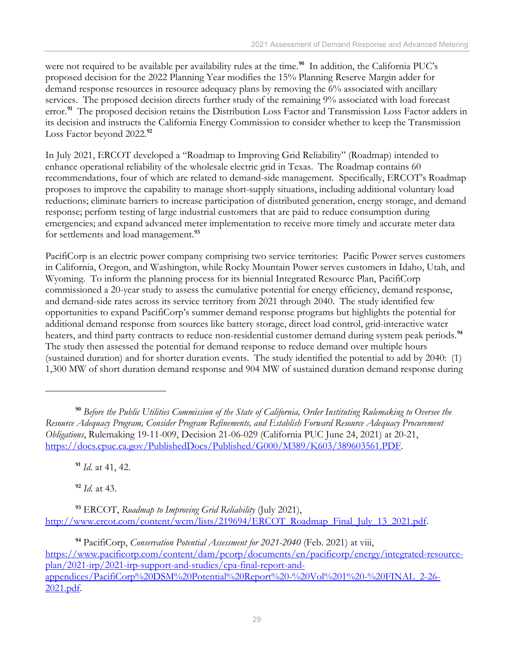were not required to be available per availability rules at the time. **[90](#page-32-0)** In addition, the California PUC's proposed decision for the 2022 Planning Year modifies the 15% Planning Reserve Margin adder for demand response resources in resource adequacy plans by removing the 6% associated with ancillary services. The proposed decision directs further study of the remaining 9% associated with load forecast error.<sup>[91](#page-32-1)</sup> The proposed decision retains the Distribution Loss Factor and Transmission Loss Factor adders in its decision and instructs the California Energy Commission to consider whether to keep the Transmission Loss Factor beyond 2022.**[92](#page-32-2)**

In July 2021, ERCOT developed a "Roadmap to Improving Grid Reliability" (Roadmap) intended to enhance operational reliability of the wholesale electric grid in Texas. The Roadmap contains 60 recommendations, four of which are related to demand-side management. Specifically, ERCOT's Roadmap proposes to improve the capability to manage short-supply situations, including additional voluntary load reductions; eliminate barriers to increase participation of distributed generation, energy storage, and demand response; perform testing of large industrial customers that are paid to reduce consumption during emergencies; and expand advanced meter implementation to receive more timely and accurate meter data for settlements and load management.**[93](#page-32-3)**

PacifiCorp is an electric power company comprising two service territories: Pacific Power serves customers in California, Oregon, and Washington, while Rocky Mountain Power serves customers in Idaho, Utah, and Wyoming. To inform the planning process for its biennial Integrated Resource Plan, PacifiCorp commissioned a 20-year study to assess the cumulative potential for energy efficiency, demand response, and demand-side rates across its service territory from 2021 through 2040. The study identified few opportunities to expand PacifiCorp's summer demand response programs but highlights the potential for additional demand response from sources like battery storage, direct load control, grid-interactive water heaters, and third party contracts to reduce non-residential customer demand during system peak periods.**[94](#page-32-4)** The study then assessed the potential for demand response to reduce demand over multiple hours (sustained duration) and for shorter duration events. The study identified the potential to add by 2040: (1) 1,300 MW of short duration demand response and 904 MW of sustained duration demand response during

**<sup>91</sup>** *Id.* at 41, 42.

**<sup>92</sup>** *Id.* at 43.

<span id="page-32-3"></span><span id="page-32-2"></span><span id="page-32-1"></span>**<sup>93</sup>** ERCOT, *Roadmap to Improving Grid Reliability* (July 2021), [http://www.ercot.com/content/wcm/lists/219694/ERCOT\\_Roadmap\\_Final\\_July\\_13\\_2021.pdf.](http://www.ercot.com/content/wcm/lists/219694/ERCOT_Roadmap_Final_July_13_2021.pdf)

<span id="page-32-4"></span>**<sup>94</sup>** PacifiCorp, *Conservation Potential Assessment for 2021-2040* (Feb. 2021) at viii, [https://www.pacificorp.com/content/dam/pcorp/documents/en/pacificorp/energy/integrated-resource](https://www.pacificorp.com/content/dam/pcorp/documents/en/pacificorp/energy/integrated-resource-plan/2021-irp/2021-irp-support-and-studies/cpa-final-report-and-appendices/PacifiCorp%20DSM%20Potential%20Report%20-%20Vol%201%20-%20FINAL_2-26-2021.pdf)[plan/2021-irp/2021-irp-support-and-studies/cpa-final-report-and](https://www.pacificorp.com/content/dam/pcorp/documents/en/pacificorp/energy/integrated-resource-plan/2021-irp/2021-irp-support-and-studies/cpa-final-report-and-appendices/PacifiCorp%20DSM%20Potential%20Report%20-%20Vol%201%20-%20FINAL_2-26-2021.pdf)[appendices/PacifiCorp%20DSM%20Potential%20Report%20-%20Vol%201%20-%20FINAL\\_2-26-](https://www.pacificorp.com/content/dam/pcorp/documents/en/pacificorp/energy/integrated-resource-plan/2021-irp/2021-irp-support-and-studies/cpa-final-report-and-appendices/PacifiCorp%20DSM%20Potential%20Report%20-%20Vol%201%20-%20FINAL_2-26-2021.pdf) [2021.pdf.](https://www.pacificorp.com/content/dam/pcorp/documents/en/pacificorp/energy/integrated-resource-plan/2021-irp/2021-irp-support-and-studies/cpa-final-report-and-appendices/PacifiCorp%20DSM%20Potential%20Report%20-%20Vol%201%20-%20FINAL_2-26-2021.pdf)

<span id="page-32-0"></span>**<sup>90</sup>** *Before the Public Utilities Commission of the State of California, Order Instituting Rulemaking to Oversee the Resource Adequacy Program, Consider Program Refinements, and Establish Forward Resource Adequacy Procurement Obligations*, Rulemaking 19-11-009, Decision 21-06-029 (California PUC June 24, 2021) at 20-21, [https://docs.cpuc.ca.gov/PublishedDocs/Published/G000/M389/K603/389603561.PDF.](https://docs.cpuc.ca.gov/PublishedDocs/Published/G000/M389/K603/389603561.PDF)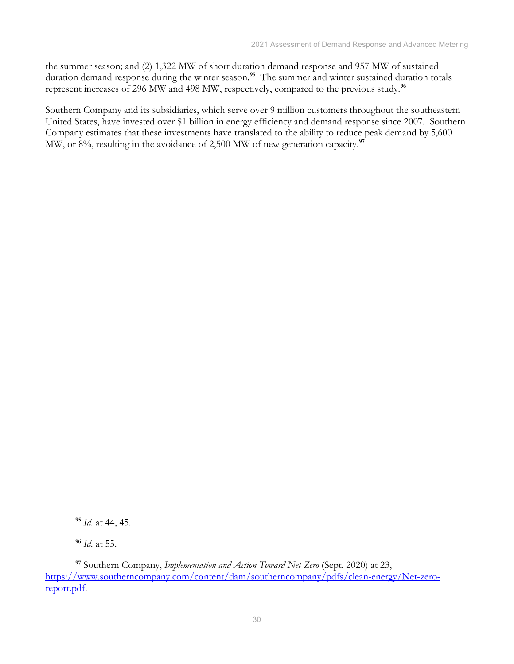the summer season; and (2) 1,322 MW of short duration demand response and 957 MW of sustained duration demand response during the winter season. **[95](#page-33-0)** The summer and winter sustained duration totals represent increases of 296 MW and 498 MW, respectively, compared to the previous study. **[96](#page-33-1)**

Southern Company and its subsidiaries, which serve over 9 million customers throughout the southeastern United States, have invested over \$1 billion in energy efficiency and demand response since 2007. Southern Company estimates that these investments have translated to the ability to reduce peak demand by 5,600 MW, or 8%, resulting in the avoidance of 2,500 MW of new generation capacity.<sup>[97](#page-33-2)</sup>

**<sup>96</sup>** *Id.* at 55.

**<sup>95</sup>** *Id.* at 44, 45.

<span id="page-33-2"></span><span id="page-33-1"></span><span id="page-33-0"></span>**<sup>97</sup>** Southern Company, *Implementation and Action Toward Net Zero* (Sept. 2020) at 23, [https://www.southerncompany.com/content/dam/southerncompany/pdfs/clean-energy/Net-zero](https://www.southerncompany.com/content/dam/southerncompany/pdfs/clean-energy/Net-zero-report.pdf)[report.pdf.](https://www.southerncompany.com/content/dam/southerncompany/pdfs/clean-energy/Net-zero-report.pdf)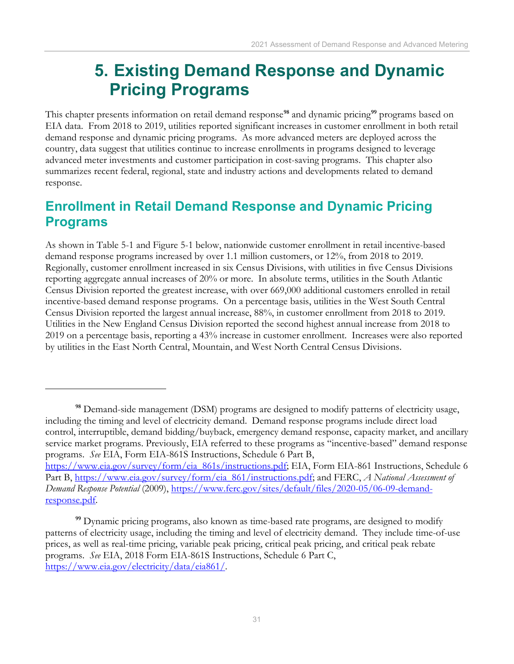## <span id="page-34-0"></span>**5. Existing Demand Response and Dynamic Pricing Programs**

This chapter presents information on retail demand response**[98](#page-34-2)** and dynamic pricing**[99](#page-34-3)** programs based on EIA data. From 2018 to 2019, utilities reported significant increases in customer enrollment in both retail demand response and dynamic pricing programs. As more advanced meters are deployed across the country, data suggest that utilities continue to increase enrollments in programs designed to leverage advanced meter investments and customer participation in cost-saving programs. This chapter also summarizes recent federal, regional, state and industry actions and developments related to demand response.

## <span id="page-34-1"></span>**Enrollment in Retail Demand Response and Dynamic Pricing Programs**

As shown in Table 5-1 and Figure 5-1 below, nationwide customer enrollment in retail incentive-based demand response programs increased by over 1.1 million customers, or 12%, from 2018 to 2019. Regionally, customer enrollment increased in six Census Divisions, with utilities in five Census Divisions reporting aggregate annual increases of 20% or more. In absolute terms, utilities in the South Atlantic Census Division reported the greatest increase, with over 669,000 additional customers enrolled in retail incentive-based demand response programs. On a percentage basis, utilities in the West South Central Census Division reported the largest annual increase, 88%, in customer enrollment from 2018 to 2019. Utilities in the New England Census Division reported the second highest annual increase from 2018 to 2019 on a percentage basis, reporting a 43% increase in customer enrollment. Increases were also reported by utilities in the East North Central, Mountain, and West North Central Census Divisions.

[response.pdf.](https://www.ferc.gov/sites/default/files/2020-05/06-09-demand-response.pdf)

<span id="page-34-2"></span>**<sup>98</sup>** Demand-side management (DSM) programs are designed to modify patterns of electricity usage, including the timing and level of electricity demand. Demand response programs include direct load control, interruptible, demand bidding/buyback, emergency demand response, capacity market, and ancillary service market programs. Previously, EIA referred to these programs as "incentive-based" demand response programs. *See* EIA, Form EIA-861S Instructions, Schedule 6 Part B, [https://www.eia.gov/survey/form/eia\\_861s/instructions.pdf;](https://www.eia.gov/survey/form/eia_861s/instructions.pdf) EIA, Form EIA-861 Instructions, Schedule 6 Part B, [https://www.eia.gov/survey/form/eia\\_861/instructions.pdf;](https://www.eia.gov/survey/form/eia_861/instructions.pdf) and FERC, *A National Assessment of Demand Response Potential* (2009), [https://www.ferc.gov/sites/default/files/2020-05/06-09-demand-](https://www.ferc.gov/sites/default/files/2020-05/06-09-demand-response.pdf)

<span id="page-34-3"></span>**<sup>99</sup>** Dynamic pricing programs, also known as time-based rate programs, are designed to modify patterns of electricity usage, including the timing and level of electricity demand. They include time-of-use prices, as well as real-time pricing, variable peak pricing, critical peak pricing, and critical peak rebate programs. *See* EIA, 2018 Form EIA-861S Instructions, Schedule 6 Part C, [https://www.eia.gov/electricity/data/eia861/.](https://www.eia.gov/electricity/data/eia861/)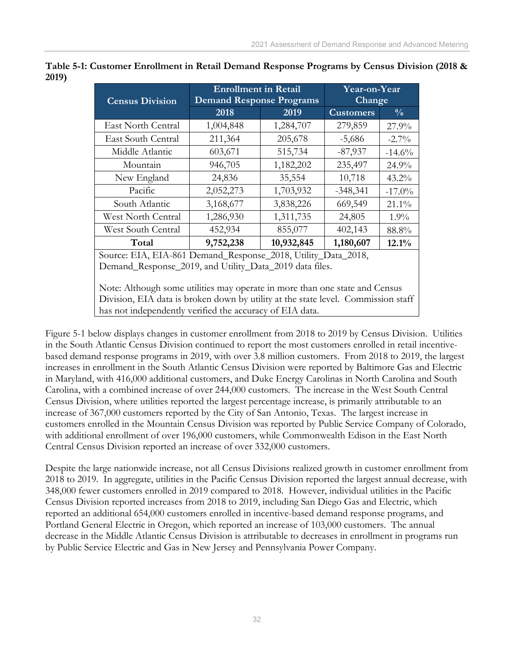| <b>Census Division</b>    | <b>Enrollment in Retail</b><br><b>Demand Response Programs</b> | Year-on-Year<br><b>Change</b> |                  |               |
|---------------------------|----------------------------------------------------------------|-------------------------------|------------------|---------------|
|                           | 2018                                                           | 2019                          | <b>Customers</b> | $\frac{0}{0}$ |
| East North Central        | 1,004,848                                                      | 1,284,707                     | 279,859          | 27.9%         |
| East South Central        | 211,364                                                        | 205,678                       | $-5,686$         | $-2.7\%$      |
| Middle Atlantic           | 603,671                                                        | 515,734                       | $-87,937$        | $-14.6%$      |
| Mountain                  | 946,705                                                        | 1,182,202                     | 235,497          | 24.9%         |
| New England               | 24,836                                                         | 35,554                        | 10,718           | $43.2\%$      |
| Pacific                   | 2,052,273                                                      | 1,703,932                     | $-348,341$       | $-17.0\%$     |
| South Atlantic            | 3,168,677                                                      | 3,838,226                     | 669,549          | $21.1\%$      |
| <b>West North Central</b> | 1,286,930                                                      | 1,311,735                     | 24,805           | $1.9\%$       |
| West South Central        | 452,934                                                        | 855,077                       | 402,143          | 88.8%         |
| Total                     | 9,752,238                                                      | 10,932,845                    | 1,180,607        | 12.1%         |

**Table 5-1: Customer Enrollment in Retail Demand Response Programs by Census Division (2018 & 2019)**

Response\_2010, Ut Demand\_Response\_2019, and Utility\_Data\_2019 data files.

Note: Although some utilities may operate in more than one state and Census Division, EIA data is broken down by utility at the state level. Commission staff has not independently verified the accuracy of EIA data.

Figure 5-1 below displays changes in customer enrollment from 2018 to 2019 by Census Division. Utilities in the South Atlantic Census Division continued to report the most customers enrolled in retail incentivebased demand response programs in 2019, with over 3.8 million customers. From 2018 to 2019, the largest increases in enrollment in the South Atlantic Census Division were reported by Baltimore Gas and Electric in Maryland, with 416,000 additional customers, and Duke Energy Carolinas in North Carolina and South Carolina, with a combined increase of over 244,000 customers. The increase in the West South Central Census Division, where utilities reported the largest percentage increase, is primarily attributable to an increase of 367,000 customers reported by the City of San Antonio, Texas. The largest increase in customers enrolled in the Mountain Census Division was reported by Public Service Company of Colorado, with additional enrollment of over 196,000 customers, while Commonwealth Edison in the East North Central Census Division reported an increase of over 332,000 customers.

Despite the large nationwide increase, not all Census Divisions realized growth in customer enrollment from 2018 to 2019. In aggregate, utilities in the Pacific Census Division reported the largest annual decrease, with 348,000 fewer customers enrolled in 2019 compared to 2018. However, individual utilities in the Pacific Census Division reported increases from 2018 to 2019, including San Diego Gas and Electric, which reported an additional 654,000 customers enrolled in incentive-based demand response programs, and Portland General Electric in Oregon, which reported an increase of 103,000 customers. The annual decrease in the Middle Atlantic Census Division is attributable to decreases in enrollment in programs run by Public Service Electric and Gas in New Jersey and Pennsylvania Power Company.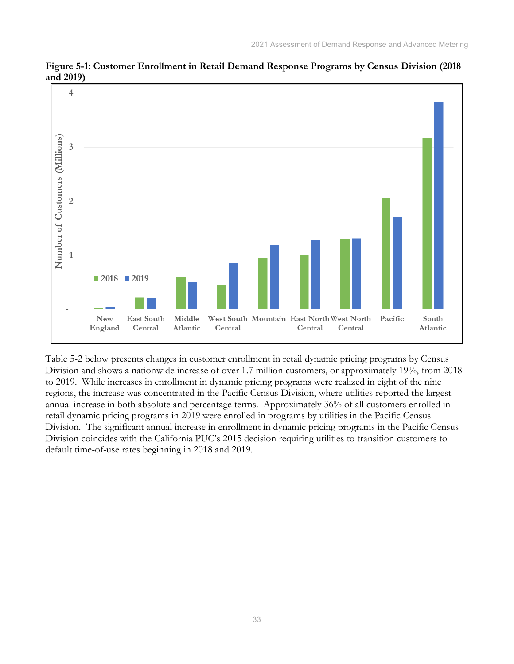

**Figure 5-1: Customer Enrollment in Retail Demand Response Programs by Census Division (2018 and 2019)**

Table 5-2 below presents changes in customer enrollment in retail dynamic pricing programs by Census Division and shows a nationwide increase of over 1.7 million customers, or approximately 19%, from 2018 to 2019. While increases in enrollment in dynamic pricing programs were realized in eight of the nine regions, the increase was concentrated in the Pacific Census Division, where utilities reported the largest annual increase in both absolute and percentage terms. Approximately 36% of all customers enrolled in retail dynamic pricing programs in 2019 were enrolled in programs by utilities in the Pacific Census Division. The significant annual increase in enrollment in dynamic pricing programs in the Pacific Census Division coincides with the California PUC's 2015 decision requiring utilities to transition customers to default time-of-use rates beginning in 2018 and 2019.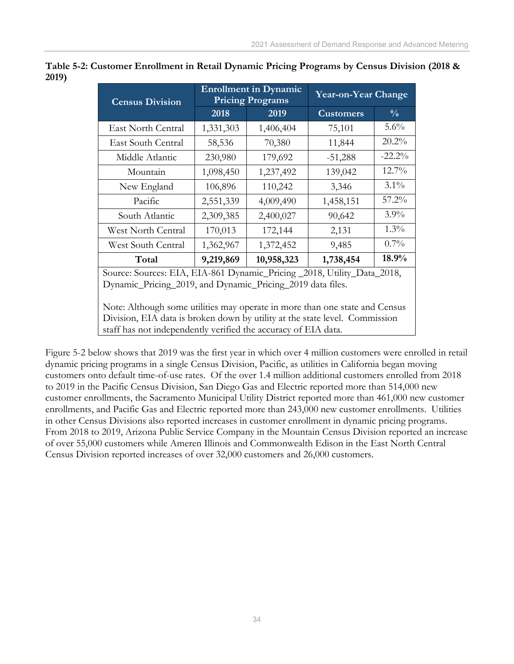| <b>Census Division</b>                                                                                                                                                                                                       | <b>Enrollment in Dynamic</b><br><b>Pricing Programs</b> |            | <b>Year-on-Year Change</b> |               |
|------------------------------------------------------------------------------------------------------------------------------------------------------------------------------------------------------------------------------|---------------------------------------------------------|------------|----------------------------|---------------|
|                                                                                                                                                                                                                              | 2018                                                    | 2019       | <b>Customers</b>           | $\frac{0}{0}$ |
| East North Central                                                                                                                                                                                                           | 1,331,303                                               | 1,406,404  | 75,101                     | 5.6%          |
| East South Central                                                                                                                                                                                                           | 58,536                                                  | 70,380     | 11,844                     | 20.2%         |
| Middle Atlantic                                                                                                                                                                                                              | 230,980                                                 | 179,692    | $-51,288$                  | $-22.2%$      |
| Mountain                                                                                                                                                                                                                     | 1,098,450                                               | 1,237,492  | 139,042                    | $12.7\%$      |
| New England                                                                                                                                                                                                                  | 106,896                                                 | 110,242    | 3,346                      | $3.1\%$       |
| Pacific                                                                                                                                                                                                                      | 2,551,339                                               | 4,009,490  | 1,458,151                  | $57.2\%$      |
| South Atlantic                                                                                                                                                                                                               | 2,309,385                                               | 2,400,027  | 90,642                     | $3.9\%$       |
| West North Central                                                                                                                                                                                                           | 170,013                                                 | 172,144    | 2,131                      | 1.3%          |
| West South Central                                                                                                                                                                                                           | 1,362,967                                               | 1,372,452  | 9,485                      | $0.7\%$       |
| Total                                                                                                                                                                                                                        | 9,219,869                                               | 10,958,323 | 1,738,454                  | 18.9%         |
| Source: Sources: EIA, EIA-861 Dynamic_Pricing _2018, Utility_Data_2018,<br>Dynamic_Pricing_2019, and Dynamic_Pricing_2019 data files.                                                                                        |                                                         |            |                            |               |
| Note: Although some utilities may operate in more than one state and Census<br>Division, EIA data is broken down by utility at the state level. Commission<br>staff has not independently verified the accuracy of EIA data. |                                                         |            |                            |               |

**Table 5-2: Customer Enrollment in Retail Dynamic Pricing Programs by Census Division (2018 & 2019)**

Figure 5-2 below shows that 2019 was the first year in which over 4 million customers were enrolled in retail dynamic pricing programs in a single Census Division, Pacific, as utilities in California began moving customers onto default time-of-use rates. Of the over 1.4 million additional customers enrolled from 2018 to 2019 in the Pacific Census Division, San Diego Gas and Electric reported more than 514,000 new customer enrollments, the Sacramento Municipal Utility District reported more than 461,000 new customer enrollments, and Pacific Gas and Electric reported more than 243,000 new customer enrollments. Utilities in other Census Divisions also reported increases in customer enrollment in dynamic pricing programs. From 2018 to 2019, Arizona Public Service Company in the Mountain Census Division reported an increase

of over 55,000 customers while Ameren Illinois and Commonwealth Edison in the East North Central

Census Division reported increases of over 32,000 customers and 26,000 customers.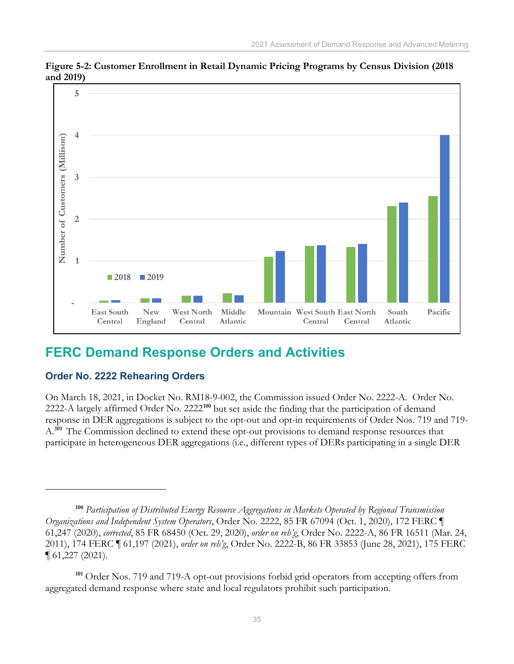

**Figure 5-2: Customer Enrollment in Retail Dynamic Pricing Programs by Census Division (2018 and 2019)**

## <span id="page-38-0"></span>**FERC Demand Response Orders and Activities**

### **Order No. 2222 Rehearing Orders**

On March 18, 2021, in Docket No. RM18-9-002, the Commission issued Order No. 2222-A. Order No. 2222-A largely affirmed Order No. 2222**[100](#page-38-1)** but set aside the finding that the participation of demand response in DER aggregations is subject to the opt-out and opt-in requirements of Order Nos. 719 and 719- A.**[101](#page-38-2)** The Commission declined to extend these opt-out provisions to demand response resources that participate in heterogeneous DER aggregations (i.e., different types of DERs participating in a single DER

<span id="page-38-1"></span>**<sup>100</sup>** *Participation of Distributed Energy Resource Aggregations in Markets Operated by Regional Transmission Organizations and Independent System Operators*, Order No. 2222, 85 FR 67094 (Oct. 1, 2020), 172 FERC ¶ 61,247 (2020), *corrected*, 85 FR 68450 (Oct. 29, 2020), *order on reh'g*, Order No. 2222-A, 86 FR 16511 (Mar. 24, 2011), 174 FERC ¶ 61,197 (2021), *order on reh'g*, Order No. 2222-B, 86 FR 33853 (June 28, 2021), 175 FERC ¶ 61,227 (2021).

<span id="page-38-2"></span><sup>&</sup>lt;sup>101</sup> Order Nos. 719 and 719-A opt-out provisions forbid grid operators from accepting offers from aggregated demand response where state and local regulators prohibit such participation.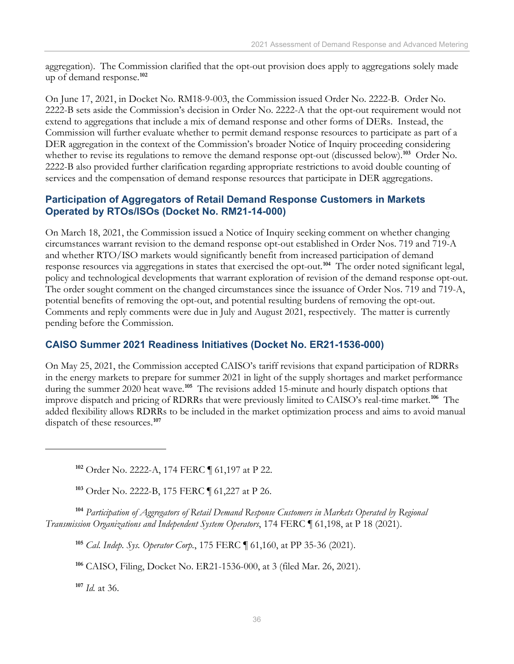aggregation). The Commission clarified that the opt-out provision does apply to aggregations solely made up of demand response.**[102](#page-39-0)**

On June 17, 2021, in Docket No. RM18-9-003, the Commission issued Order No. 2222-B. Order No. 2222-B sets aside the Commission's decision in Order No. 2222-A that the opt-out requirement would not extend to aggregations that include a mix of demand response and other forms of DERs. Instead, the Commission will further evaluate whether to permit demand response resources to participate as part of a DER aggregation in the context of the Commission's broader Notice of Inquiry proceeding considering whether to revise its regulations to remove the demand response opt-out (discussed below).**[103](#page-39-1)** Order No. 2222-B also provided further clarification regarding appropriate restrictions to avoid double counting of services and the compensation of demand response resources that participate in DER aggregations.

#### **Participation of Aggregators of Retail Demand Response Customers in Markets Operated by RTOs/ISOs (Docket No. RM21-14-000)**

On March 18, 2021, the Commission issued a Notice of Inquiry seeking comment on whether changing circumstances warrant revision to the demand response opt-out established in Order Nos. 719 and 719-A and whether RTO/ISO markets would significantly benefit from increased participation of demand response resources via aggregations in states that exercised the opt-out. **[104](#page-39-2)** The order noted significant legal, policy and technological developments that warrant exploration of revision of the demand response opt-out. The order sought comment on the changed circumstances since the issuance of Order Nos. 719 and 719-A, potential benefits of removing the opt-out, and potential resulting burdens of removing the opt-out. Comments and reply comments were due in July and August 2021, respectively. The matter is currently pending before the Commission.

### **CAISO Summer 2021 Readiness Initiatives (Docket No. ER21-1536-000)**

On May 25, 2021, the Commission accepted CAISO's tariff revisions that expand participation of RDRRs in the energy markets to prepare for summer 2021 in light of the supply shortages and market performance during the summer 2020 heat wave.**[105](#page-39-3)** The revisions added 15-minute and hourly dispatch options that improve dispatch and pricing of RDRRs that were previously limited to CAISO's real-time market.**[106](#page-39-4)** The added flexibility allows RDRRs to be included in the market optimization process and aims to avoid manual dispatch of these resources.**[107](#page-39-5)**

**<sup>102</sup>** Order No. 2222-A, 174 FERC ¶ 61,197 at P 22.

**<sup>103</sup>** Order No. 2222-B, 175 FERC ¶ 61,227 at P 26.

<span id="page-39-4"></span><span id="page-39-3"></span><span id="page-39-2"></span><span id="page-39-1"></span><span id="page-39-0"></span>**<sup>104</sup>** *Participation of Aggregators of Retail Demand Response Customers in Markets Operated by Regional Transmission Organizations and Independent System Operators*, 174 FERC ¶ 61,198, at P 18 (2021).

**<sup>105</sup>** *Cal. Indep. Sys. Operator Corp.*, 175 FERC ¶ 61,160, at PP 35-36 (2021).

**<sup>106</sup>** CAISO, Filing, Docket No. ER21-1536-000, at 3 (filed Mar. 26, 2021).

<span id="page-39-5"></span>**<sup>107</sup>** *Id.* at 36.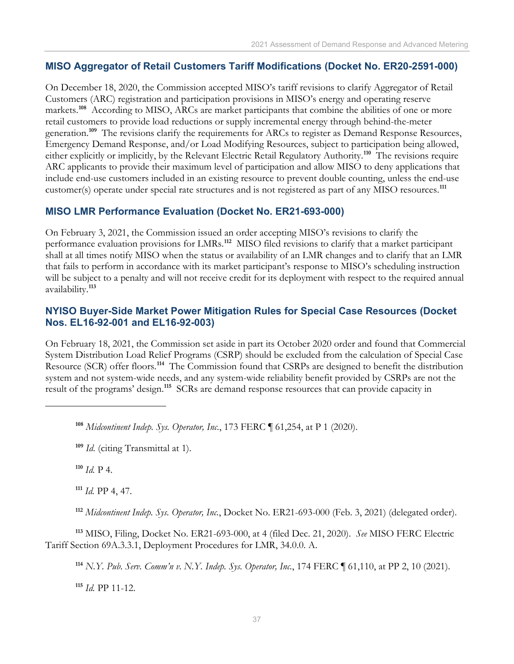#### **MISO Aggregator of Retail Customers Tariff Modifications (Docket No. ER20-2591-000)**

On December 18, 2020, the Commission accepted MISO's tariff revisions to clarify Aggregator of Retail Customers (ARC) registration and participation provisions in MISO's energy and operating reserve markets.<sup>[108](#page-40-0)</sup> According to MISO, ARCs are market participants that combine the abilities of one or more retail customers to provide load reductions or supply incremental energy through behind-the-meter generation.**[109](#page-40-1)** The revisions clarify the requirements for ARCs to register as Demand Response Resources, Emergency Demand Response, and/or Load Modifying Resources, subject to participation being allowed, either explicitly or implicitly, by the Relevant Electric Retail Regulatory Authority. **[110](#page-40-2)** The revisions require ARC applicants to provide their maximum level of participation and allow MISO to deny applications that include end-use customers included in an existing resource to prevent double counting, unless the end-use customer(s) operate under special rate structures and is not registered as part of any MISO resources.**[111](#page-40-3)**

#### **MISO LMR Performance Evaluation (Docket No. ER21-693-000)**

On February 3, 2021, the Commission issued an order accepting MISO's revisions to clarify the performance evaluation provisions for LMRs.**[112](#page-40-4)** MISO filed revisions to clarify that a market participant shall at all times notify MISO when the status or availability of an LMR changes and to clarify that an LMR that fails to perform in accordance with its market participant's response to MISO's scheduling instruction will be subject to a penalty and will not receive credit for its deployment with respect to the required annual availability.**[113](#page-40-5)**

#### **NYISO Buyer-Side Market Power Mitigation Rules for Special Case Resources (Docket Nos. EL16-92-001 and EL16-92-003)**

On February 18, 2021, the Commission set aside in part its October 2020 order and found that Commercial System Distribution Load Relief Programs (CSRP) should be excluded from the calculation of Special Case Resource (SCR) offer floors.**[114](#page-40-6)** The Commission found that CSRPs are designed to benefit the distribution system and not system-wide needs, and any system-wide reliability benefit provided by CSRPs are not the result of the programs' design.**[115](#page-40-7)** SCRs are demand response resources that can provide capacity in

<span id="page-40-0"></span>**<sup>108</sup>** *Midcontinent Indep. Sys. Operator, Inc.*, 173 FERC ¶ 61,254, at P 1 (2020).

<span id="page-40-1"></span>**<sup>109</sup>** *Id*. (citing Transmittal at 1).

<span id="page-40-2"></span>**<sup>110</sup>** *Id.* P 4.

**<sup>111</sup>** *Id.* PP 4, 47.

**<sup>112</sup>** *Midcontinent Indep. Sys. Operator, Inc.*, Docket No. ER21-693-000 (Feb. 3, 2021) (delegated order).

<span id="page-40-7"></span><span id="page-40-6"></span><span id="page-40-5"></span><span id="page-40-4"></span><span id="page-40-3"></span>**<sup>113</sup>** MISO, Filing, Docket No. ER21-693-000, at 4 (filed Dec. 21, 2020). *See* MISO FERC Electric Tariff Section 69A.3.3.1, Deployment Procedures for LMR, 34.0.0. A.

**<sup>114</sup>** *N.Y. Pub. Serv. Comm'n v. N.Y. Indep. Sys. Operator, Inc.*, 174 FERC ¶ 61,110, at PP 2, 10 (2021).

**<sup>115</sup>** *Id.* PP 11-12.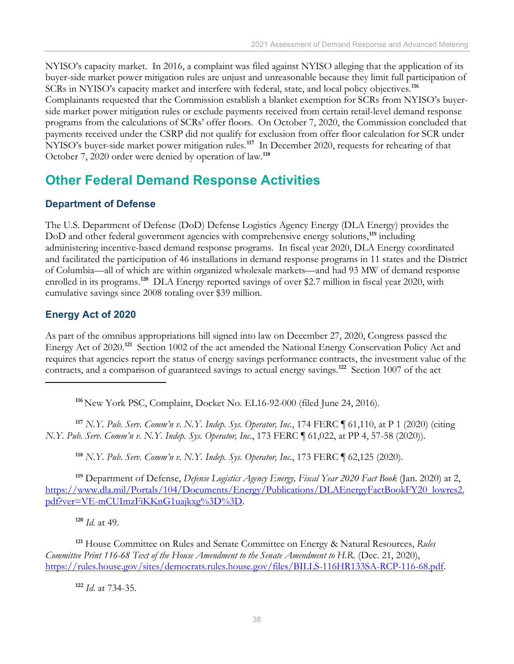NYISO's capacity market. In 2016, a complaint was filed against NYISO alleging that the application of its buyer-side market power mitigation rules are unjust and unreasonable because they limit full participation of SCRs in NYISO's capacity market and interfere with federal, state, and local policy objectives. **[116](#page-41-1)**  Complainants requested that the Commission establish a blanket exemption for SCRs from NYISO's buyerside market power mitigation rules or exclude payments received from certain retail-level demand response programs from the calculations of SCRs' offer floors. On October 7, 2020, the Commission concluded that payments received under the CSRP did not qualify for exclusion from offer floor calculation for SCR under NYISO's buyer-side market power mitigation rules.<sup>[117](#page-41-2)</sup> In December 2020, requests for rehearing of that October 7, 2020 order were denied by operation of law. **[118](#page-41-3)**

## <span id="page-41-0"></span>**Other Federal Demand Response Activities**

### **Department of Defense**

The U.S. Department of Defense (DoD) Defense Logistics Agency Energy (DLA Energy) provides the DoD and other federal government agencies with comprehensive energy solutions,**[119](#page-41-4)** including administering incentive-based demand response programs. In fiscal year 2020, DLA Energy coordinated and facilitated the participation of 46 installations in demand response programs in 11 states and the District of Columbia—all of which are within organized wholesale markets—and had 93 MW of demand response enrolled in its programs.<sup>[120](#page-41-5)</sup> DLA Energy reported savings of over \$2.7 million in fiscal year 2020, with cumulative savings since 2008 totaling over \$39 million.

### **Energy Act of 2020**

As part of the omnibus appropriations bill signed into law on December 27, 2020, Congress passed the Energy Act of 2020.**[121](#page-41-6)** Section 1002 of the act amended the National Energy Conservation Policy Act and requires that agencies report the status of energy savings performance contracts, the investment value of the contracts, and a comparison of guaranteed savings to actual energy savings.**[122](#page-41-7)** Section 1007 of the act

**<sup>116</sup>**New York PSC, Complaint, Docket No. EL16-92-000 (filed June 24, 2016).

<span id="page-41-2"></span><span id="page-41-1"></span>**<sup>117</sup>** *N.Y. Pub. Serv. Comm'n v. N.Y. Indep. Sys. Operator, Inc.*, 174 FERC ¶ 61,110, at P 1 (2020) (citing *N.Y. Pub. Serv. Comm'n v. N.Y. Indep. Sys. Operator, Inc.*, 173 FERC ¶ 61,022, at PP 4, 57-58 (2020)).

**<sup>118</sup>** *N.Y. Pub. Serv. Comm'n v. N.Y. Indep. Sys. Operator, Inc.*, 173 FERC ¶ 62,125 (2020).

<span id="page-41-4"></span><span id="page-41-3"></span>**<sup>119</sup>** Department of Defense, *Defense Logistics Agency Energy, Fiscal Year 2020 Fact Book* (Jan. 2020) at 2, [https://www.dla.mil/Portals/104/Documents/Energy/Publications/DLAEnergyFactBookFY20\\_lowres2.](https://www.dla.mil/Portals/104/Documents/Energy/Publications/DLAEnergyFactBookFY20_lowres2.pdf?ver=VE-mCUImzFiKKnG1uajkxg%3D%3D) [pdf?ver=VE-mCUImzFiKKnG1uajkxg%3D%3D.](https://www.dla.mil/Portals/104/Documents/Energy/Publications/DLAEnergyFactBookFY20_lowres2.pdf?ver=VE-mCUImzFiKKnG1uajkxg%3D%3D)

**<sup>120</sup>** *Id.* at 49.

<span id="page-41-7"></span><span id="page-41-6"></span><span id="page-41-5"></span>**<sup>121</sup>** House Committee on Rules and Senate Committee on Energy & Natural Resources, *Rules Committee Print 116-68 Text of the House Amendment to the Senate Amendment to H.R.* (Dec. 21, 2020), [https://rules.house.gov/sites/democrats.rules.house.gov/files/BILLS-116HR133SA-RCP-116-68.pdf.](https://rules.house.gov/sites/democrats.rules.house.gov/files/BILLS-116HR133SA-RCP-116-68.pdf)

**<sup>122</sup>** *Id*. at 734-35.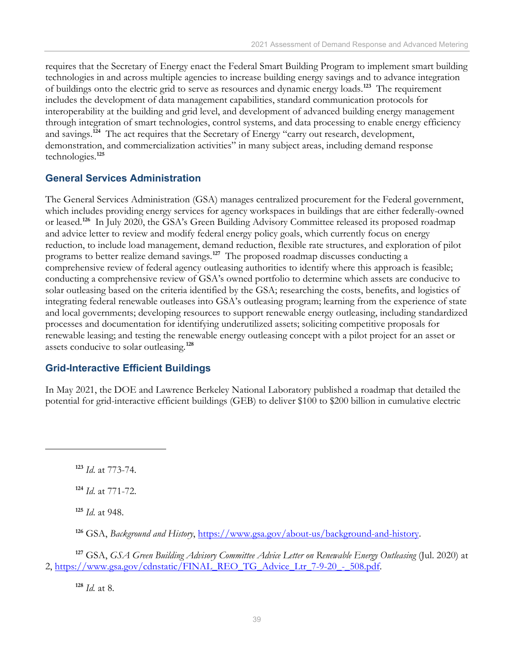requires that the Secretary of Energy enact the Federal Smart Building Program to implement smart building technologies in and across multiple agencies to increase building energy savings and to advance integration of buildings onto the electric grid to serve as resources and dynamic energy loads.**[123](#page-42-0)** The requirement includes the development of data management capabilities, standard communication protocols for interoperability at the building and grid level, and development of advanced building energy management through integration of smart technologies, control systems, and data processing to enable energy efficiency and savings.**[124](#page-42-1)** The act requires that the Secretary of Energy "carry out research, development, demonstration, and commercialization activities" in many subject areas, including demand response technologies.**[125](#page-42-2)**

#### **General Services Administration**

The General Services Administration (GSA) manages centralized procurement for the Federal government, which includes providing energy services for agency workspaces in buildings that are either federally-owned or leased.**[126](#page-42-3)** In July 2020, the GSA's Green Building Advisory Committee released its proposed roadmap and advice letter to review and modify federal energy policy goals, which currently focus on energy reduction, to include load management, demand reduction, flexible rate structures, and exploration of pilot programs to better realize demand savings.**[127](#page-42-4)** The proposed roadmap discusses conducting a comprehensive review of federal agency outleasing authorities to identify where this approach is feasible; conducting a comprehensive review of GSA's owned portfolio to determine which assets are conducive to solar outleasing based on the criteria identified by the GSA; researching the costs, benefits, and logistics of integrating federal renewable outleases into GSA's outleasing program; learning from the experience of state and local governments; developing resources to support renewable energy outleasing, including standardized processes and documentation for identifying underutilized assets; soliciting competitive proposals for renewable leasing; and testing the renewable energy outleasing concept with a pilot project for an asset or assets conducive to solar outleasing. **[128](#page-42-5)**

### **Grid-Interactive Efficient Buildings**

In May 2021, the DOE and Lawrence Berkeley National Laboratory published a roadmap that detailed the potential for grid-interactive efficient buildings (GEB) to deliver \$100 to \$200 billion in cumulative electric

<span id="page-42-1"></span>**<sup>124</sup>** *Id*. at 771-72.

**<sup>125</sup>** *Id*. at 948.

**<sup>126</sup>** GSA, *Background and History*, [https://www.gsa.gov/about-us/background-and-history.](https://www.gsa.gov/about-us/background-and-history)

<span id="page-42-5"></span><span id="page-42-4"></span><span id="page-42-3"></span><span id="page-42-2"></span>**<sup>127</sup>** GSA, *GSA Green Building Advisory Committee Advice Letter on Renewable Energy Outleasing* (Jul. 2020) at 2, [https://www.gsa.gov/cdnstatic/FINAL\\_REO\\_TG\\_Advice\\_Ltr\\_7-9-20\\_-\\_508.pdf.](https://www.gsa.gov/cdnstatic/FINAL_REO_TG_Advice_Ltr_7-9-20_-_508.pdf)

**<sup>128</sup>** *Id.* at 8.

<span id="page-42-0"></span>**<sup>123</sup>** *Id*. at 773-74.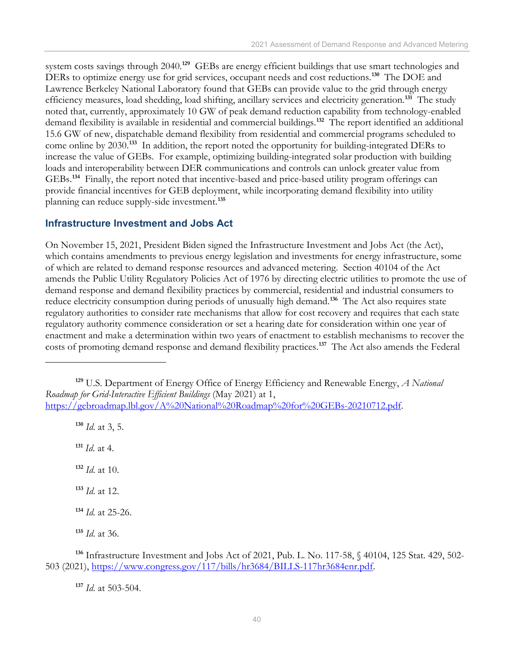system costs savings through 2040.**[129](#page-43-0)** GEBs are energy efficient buildings that use smart technologies and DERs to optimize energy use for grid services, occupant needs and cost reductions.**[130](#page-43-1)** The DOE and Lawrence Berkeley National Laboratory found that GEBs can provide value to the grid through energy efficiency measures, load shedding, load shifting, ancillary services and electricity generation. **[131](#page-43-2)** The study noted that, currently, approximately 10 GW of peak demand reduction capability from technology-enabled demand flexibility is available in residential and commercial buildings.**[132](#page-43-3)** The report identified an additional 15.6 GW of new, dispatchable demand flexibility from residential and commercial programs scheduled to come online by 2030.**[133](#page-43-4)** In addition, the report noted the opportunity for building-integrated DERs to increase the value of GEBs. For example, optimizing building-integrated solar production with building loads and interoperability between DER communications and controls can unlock greater value from GEBs.**[134](#page-43-5)** Finally, the report noted that incentive-based and price-based utility program offerings can provide financial incentives for GEB deployment, while incorporating demand flexibility into utility planning can reduce supply-side investment.**[135](#page-43-6)**

#### **Infrastructure Investment and Jobs Act**

On November 15, 2021, President Biden signed the Infrastructure Investment and Jobs Act (the Act), which contains amendments to previous energy legislation and investments for energy infrastructure, some of which are related to demand response resources and advanced metering. Section 40104 of the Act amends the Public Utility Regulatory Policies Act of 1976 by directing electric utilities to promote the use of demand response and demand flexibility practices by commercial, residential and industrial consumers to reduce electricity consumption during periods of unusually high demand.**[136](#page-43-7)** The Act also requires state regulatory authorities to consider rate mechanisms that allow for cost recovery and requires that each state regulatory authority commence consideration or set a hearing date for consideration within one year of enactment and make a determination within two years of enactment to establish mechanisms to recover the costs of promoting demand response and demand flexibility practices. **[137](#page-43-8)** The Act also amends the Federal

**<sup>130</sup>** *Id*. at 3, 5.

<span id="page-43-2"></span>**<sup>131</sup>** *Id*. at 4.

<span id="page-43-3"></span>**<sup>132</sup>** *Id*. at 10.

<span id="page-43-4"></span>**<sup>133</sup>** *Id*. at 12.

**<sup>134</sup>** *Id.* at 25-26.

**<sup>135</sup>** *Id*. at 36.

**<sup>137</sup>** *Id*. at 503-504.

<span id="page-43-1"></span><span id="page-43-0"></span>**<sup>129</sup>** U.S. Department of Energy Office of Energy Efficiency and Renewable Energy, *A National Roadmap for Grid-Interactive Efficient Buildings* (May 2021) at 1, [https://gebroadmap.lbl.gov/A%20National%20Roadmap%20for%20GEBs-20210712.pdf.](https://gebroadmap.lbl.gov/A%20National%20Roadmap%20for%20GEBs-20210712.pdf)

<span id="page-43-8"></span><span id="page-43-7"></span><span id="page-43-6"></span><span id="page-43-5"></span>**<sup>136</sup>** Infrastructure Investment and Jobs Act of 2021, Pub. L. No. 117-58, § 40104, 125 Stat. 429, 502- 503 (2021), [https://www.congress.gov/117/bills/hr3684/BILLS-117hr3684enr.pdf.](https://www.congress.gov/117/bills/hr3684/BILLS-117hr3684enr.pdf)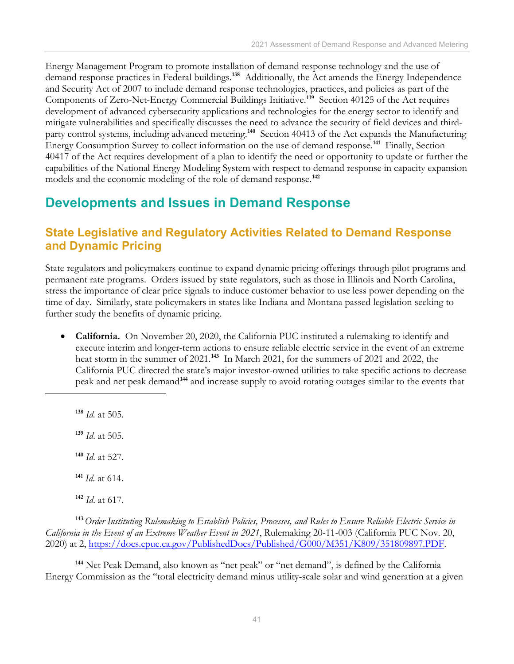Energy Management Program to promote installation of demand response technology and the use of demand response practices in Federal buildings.**[138](#page-44-2)** Additionally, the Act amends the Energy Independence and Security Act of 2007 to include demand response technologies, practices, and policies as part of the Components of Zero-Net-Energy Commercial Buildings Initiative.**[139](#page-44-3)** Section 40125 of the Act requires development of advanced cybersecurity applications and technologies for the energy sector to identify and mitigate vulnerabilities and specifically discusses the need to advance the security of field devices and third-party control systems, including advanced metering.<sup>[140](#page-44-4)</sup> Section 40413 of the Act expands the Manufacturing Energy Consumption Survey to collect information on the use of demand response.**[141](#page-44-5)** Finally, Section 40417 of the Act requires development of a plan to identify the need or opportunity to update or further the capabilities of the National Energy Modeling System with respect to demand response in capacity expansion models and the economic modeling of the role of demand response.**[142](#page-44-6)**

## <span id="page-44-0"></span>**Developments and Issues in Demand Response**

### <span id="page-44-1"></span>**State Legislative and Regulatory Activities Related to Demand Response and Dynamic Pricing**

State regulators and policymakers continue to expand dynamic pricing offerings through pilot programs and permanent rate programs. Orders issued by state regulators, such as those in Illinois and North Carolina, stress the importance of clear price signals to induce customer behavior to use less power depending on the time of day. Similarly, state policymakers in states like Indiana and Montana passed legislation seeking to further study the benefits of dynamic pricing.

• **California.** On November 20, 2020, the California PUC instituted a rulemaking to identify and execute interim and longer-term actions to ensure reliable electric service in the event of an extreme heat storm in the summer of 2021.**[143](#page-44-7)** In March 2021, for the summers of 2021 and 2022, the California PUC directed the state's major investor-owned utilities to take specific actions to decrease peak and net peak demand**[144](#page-44-8)** and increase supply to avoid rotating outages similar to the events that

<span id="page-44-3"></span><span id="page-44-2"></span> *Id.* at 505. *Id*. at 505. *Id*. at 527. *Id*. at 614. *Id*. at 617.

<span id="page-44-7"></span><span id="page-44-6"></span><span id="page-44-5"></span><span id="page-44-4"></span>**<sup>143</sup>***Order Instituting Rulemaking to Establish Policies, Processes, and Rules to Ensure Reliable Electric Service in California in the Event of an Extreme Weather Event in 2021*, Rulemaking 20-11-003 (California PUC Nov. 20, 2020) at 2, [https://docs.cpuc.ca.gov/PublishedDocs/Published/G000/M351/K809/351809897.PDF.](https://docs.cpuc.ca.gov/PublishedDocs/Published/G000/M351/K809/351809897.PDF)

<span id="page-44-8"></span>**<sup>144</sup>** Net Peak Demand, also known as "net peak" or "net demand", is defined by the California Energy Commission as the "total electricity demand minus utility-scale solar and wind generation at a given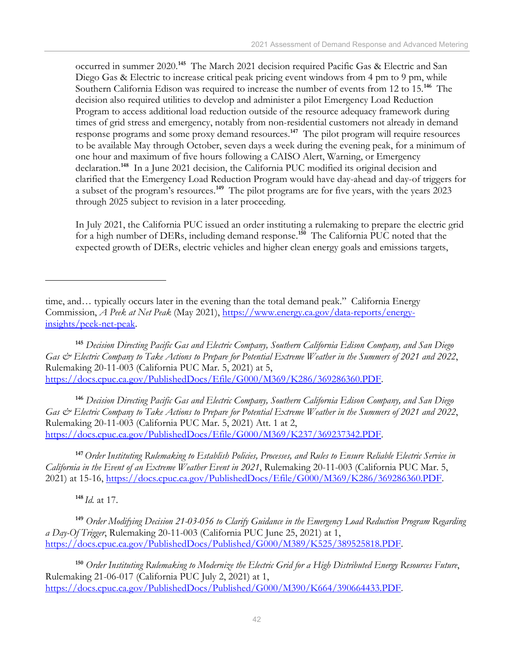occurred in summer 2020. **[145](#page-45-0)** The March 2021 decision required Pacific Gas & Electric and San Diego Gas & Electric to increase critical peak pricing event windows from 4 pm to 9 pm, while Southern California Edison was required to increase the number of events from 12 to 15.**[146](#page-45-1)** The decision also required utilities to develop and administer a pilot Emergency Load Reduction Program to access additional load reduction outside of the resource adequacy framework during times of grid stress and emergency, notably from non-residential customers not already in demand response programs and some proxy demand resources. **[147](#page-45-2)** The pilot program will require resources to be available May through October, seven days a week during the evening peak, for a minimum of one hour and maximum of five hours following a CAISO Alert, Warning, or Emergency declaration. **[148](#page-45-3)** In a June 2021 decision, the California PUC modified its original decision and clarified that the Emergency Load Reduction Program would have day-ahead and day-of triggers for a subset of the program's resources.**[149](#page-45-4)** The pilot programs are for five years, with the years 2023 through 2025 subject to revision in a later proceeding.

In July 2021, the California PUC issued an order instituting a rulemaking to prepare the electric grid for a high number of DERs, including demand response.**[150](#page-45-5)** The California PUC noted that the expected growth of DERs, electric vehicles and higher clean energy goals and emissions targets,

<span id="page-45-1"></span>**<sup>146</sup>** *Decision Directing Pacific Gas and Electric Company, Southern California Edison Company, and San Diego Gas & Electric Company to Take Actions to Prepare for Potential Extreme Weather in the Summers of 2021 and 2022*, Rulemaking 20-11-003 (California PUC Mar. 5, 2021) Att. 1 at 2, [https://docs.cpuc.ca.gov/PublishedDocs/Efile/G000/M369/K237/369237342.PDF.](https://docs.cpuc.ca.gov/PublishedDocs/Efile/G000/M369/K237/369237342.PDF)

<span id="page-45-2"></span>**<sup>147</sup>***Order Instituting Rulemaking to Establish Policies, Processes, and Rules to Ensure Reliable Electric Service in California in the Event of an Extreme Weather Event in 2021*, Rulemaking 20-11-003 (California PUC Mar. 5, 2021) at 15-16, https://docs.cpuc.ca.gov/PublishedDocs/Efile/G000/M369/K286/369286360.PDF.

**<sup>148</sup>** *Id.* at 17.

<span id="page-45-4"></span><span id="page-45-3"></span>**<sup>149</sup>** *Order Modifying Decision 21-03-056 to Clarify Guidance in the Emergency Load Reduction Program Regarding a Day-Of Trigger*, Rulemaking 20-11-003 (California PUC June 25, 2021) at 1, [https://docs.cpuc.ca.gov/PublishedDocs/Published/G000/M389/K525/389525818.PDF.](https://docs.cpuc.ca.gov/PublishedDocs/Published/G000/M389/K525/389525818.PDF)

<span id="page-45-5"></span>**<sup>150</sup>** *Order Instituting Rulemaking to Modernize the Electric Grid for a High Distributed Energy Resources Future*, Rulemaking 21-06-017 (California PUC July 2, 2021) at 1, [https://docs.cpuc.ca.gov/PublishedDocs/Published/G000/M390/K664/390664433.PDF.](https://docs.cpuc.ca.gov/PublishedDocs/Published/G000/M390/K664/390664433.PDF)

time, and… typically occurs later in the evening than the total demand peak." California Energy Commission, *A Peek at Net Peak* (May 2021), [https://www.energy.ca.gov/data-reports/energy](https://www.energy.ca.gov/data-reports/energy-insights/peek-net-peak)[insights/peek-net-peak.](https://www.energy.ca.gov/data-reports/energy-insights/peek-net-peak)

<span id="page-45-0"></span>**<sup>145</sup>** *Decision Directing Pacific Gas and Electric Company, Southern California Edison Company, and San Diego Gas & Electric Company to Take Actions to Prepare for Potential Extreme Weather in the Summers of 2021 and 2022*, Rulemaking 20-11-003 (California PUC Mar. 5, 2021) at 5, [https://docs.cpuc.ca.gov/PublishedDocs/Efile/G000/M369/K286/369286360.PDF.](https://docs.cpuc.ca.gov/PublishedDocs/Efile/G000/M369/K286/369286360.PDF)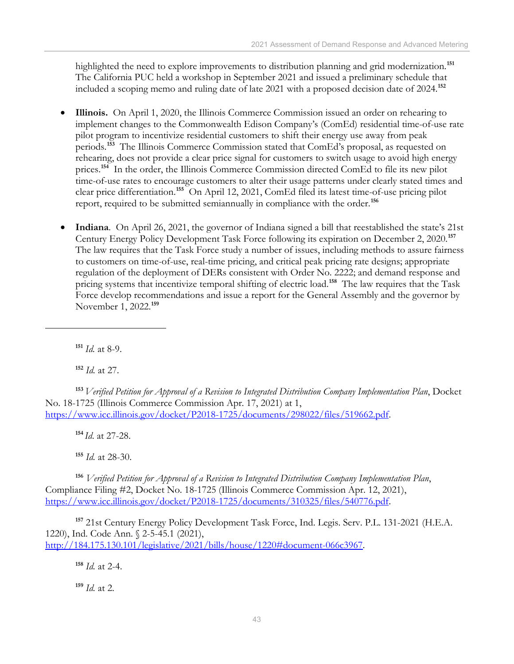highlighted the need to explore improvements to distribution planning and grid modernization.**[151](#page-46-0)** The California PUC held a workshop in September 2021 and issued a preliminary schedule that included a scoping memo and ruling date of late 2021 with a proposed decision date of 2024.**[152](#page-46-1)**

- **Illinois.** On April 1, 2020, the Illinois Commerce Commission issued an order on rehearing to implement changes to the Commonwealth Edison Company's (ComEd) residential time-of-use rate pilot program to incentivize residential customers to shift their energy use away from peak periods.**[153](#page-46-2)** The Illinois Commerce Commission stated that ComEd's proposal, as requested on rehearing, does not provide a clear price signal for customers to switch usage to avoid high energy prices.<sup>[154](#page-46-3)</sup> In the order, the Illinois Commerce Commission directed ComEd to file its new pilot time-of-use rates to encourage customers to alter their usage patterns under clearly stated times and clear price differentiation. **[155](#page-46-4)** On April 12, 2021, ComEd filed its latest time-of-use pricing pilot report, required to be submitted semiannually in compliance with the order. **[156](#page-46-5)**
- **Indiana**. On April 26, 2021, the governor of Indiana signed a bill that reestablished the state's 21st Century Energy Policy Development Task Force following its expiration on December 2, 2020.**[157](#page-46-6)** The law requires that the Task Force study a number of issues, including methods to assure fairness to customers on time-of-use, real-time pricing, and critical peak pricing rate designs; appropriate regulation of the deployment of DERs consistent with Order No. 2222; and demand response and pricing systems that incentivize temporal shifting of electric load.**[158](#page-46-7)** The law requires that the Task Force develop recommendations and issue a report for the General Assembly and the governor by November 1, 2022.**[159](#page-46-8)**

**<sup>151</sup>** *Id.* at 8-9.

**<sup>152</sup>** *Id.* at 27.

<span id="page-46-2"></span><span id="page-46-1"></span><span id="page-46-0"></span>**<sup>153</sup>** *Verified Petition for Approval of a Revision to Integrated Distribution Company Implementation Plan*, Docket No. 18-1725 (Illinois Commerce Commission Apr. 17, 2021) at 1, [https://www.icc.illinois.gov/docket/P2018-1725/documents/298022/files/519662.pdf.](https://www.icc.illinois.gov/docket/P2018-1725/documents/298022/files/519662.pdf)

**<sup>154</sup>** *Id*. at 27-28.

**<sup>155</sup>** *Id.* at 28-30.

<span id="page-46-5"></span><span id="page-46-4"></span><span id="page-46-3"></span>**<sup>156</sup>** *Verified Petition for Approval of a Revision to Integrated Distribution Company Implementation Plan*, Compliance Filing #2, Docket No. 18-1725 (Illinois Commerce Commission Apr. 12, 2021), [https://www.icc.illinois.gov/docket/P2018-1725/documents/310325/files/540776.pdf.](https://www.icc.illinois.gov/docket/P2018-1725/documents/310325/files/540776.pdf)

<span id="page-46-7"></span><span id="page-46-6"></span>**<sup>157</sup>** 21st Century Energy Policy Development Task Force, Ind. Legis. Serv. P.L. 131-2021 (H.E.A. 1220), Ind. Code Ann. § 2-5-45.1 (2021), [http://184.175.130.101/legislative/2021/bills/house/1220#document-066c3967.](http://184.175.130.101/legislative/2021/bills/house/1220#document-066c3967)

**<sup>158</sup>** *Id.* at 2-4.

<span id="page-46-8"></span>**<sup>159</sup>** *Id.* at 2.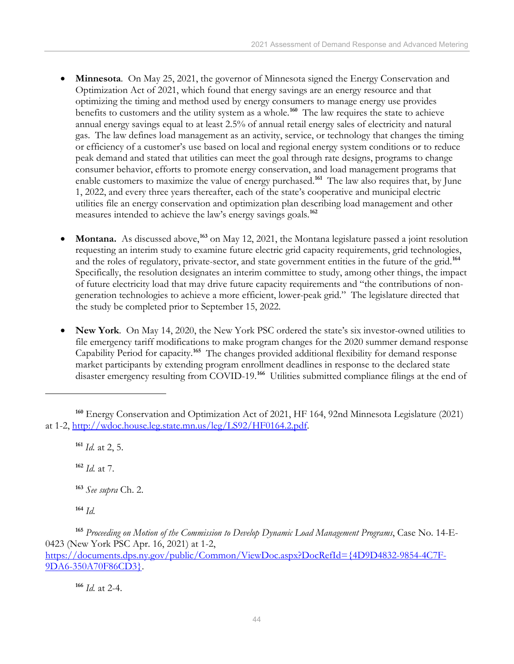- **Minnesota**. On May 25, 2021, the governor of Minnesota signed the Energy Conservation and Optimization Act of 2021, which found that energy savings are an energy resource and that optimizing the timing and method used by energy consumers to manage energy use provides benefits to customers and the utility system as a whole.**[160](#page-47-0)** The law requires the state to achieve annual energy savings equal to at least 2.5% of annual retail energy sales of electricity and natural gas. The law defines load management as an activity, service, or technology that changes the timing or efficiency of a customer's use based on local and regional energy system conditions or to reduce peak demand and stated that utilities can meet the goal through rate designs, programs to change consumer behavior, efforts to promote energy conservation, and load management programs that enable customers to maximize the value of energy purchased.<sup>[161](#page-47-1)</sup> The law also requires that, by June 1, 2022, and every three years thereafter, each of the state's cooperative and municipal electric utilities file an energy conservation and optimization plan describing load management and other measures intended to achieve the law's energy savings goals.**[162](#page-47-2)**
- **Montana.** As discussed above,**[163](#page-47-3)** on May 12, 2021, the Montana legislature passed a joint resolution requesting an interim study to examine future electric grid capacity requirements, grid technologies, and the roles of regulatory, private-sector, and state government entities in the future of the grid. **[164](#page-47-4)** Specifically, the resolution designates an interim committee to study, among other things, the impact of future electricity load that may drive future capacity requirements and "the contributions of nongeneration technologies to achieve a more efficient, lower-peak grid." The legislature directed that the study be completed prior to September 15, 2022.
- **New York**. On May 14, 2020, the New York PSC ordered the state's six investor-owned utilities to file emergency tariff modifications to make program changes for the 2020 summer demand response Capability Period for capacity. **[165](#page-47-5)** The changes provided additional flexibility for demand response market participants by extending program enrollment deadlines in response to the declared state disaster emergency resulting from COVID-19.**[166](#page-47-6)** Utilities submitted compliance filings at the end of

**<sup>161</sup>** *Id.* at 2, 5.

**<sup>162</sup>** *Id.* at 7.

**<sup>163</sup>** *See supra* Ch. 2.

**<sup>164</sup>** *Id.*

**<sup>166</sup>** *Id.* at 2-4.

<span id="page-47-2"></span><span id="page-47-1"></span><span id="page-47-0"></span>**<sup>160</sup>** Energy Conservation and Optimization Act of 2021, HF 164, 92nd Minnesota Legislature (2021) at 1-2, [http://wdoc.house.leg.state.mn.us/leg/LS92/HF0164.2.pdf.](http://wdoc.house.leg.state.mn.us/leg/LS92/HF0164.2.pdf)

<span id="page-47-6"></span><span id="page-47-5"></span><span id="page-47-4"></span><span id="page-47-3"></span>**<sup>165</sup>** *Proceeding on Motion of the Commission to Develop Dynamic Load Management Programs*, Case No. 14-E-0423 (New York PSC Apr. 16, 2021) at 1-2, [https://documents.dps.ny.gov/public/Common/ViewDoc.aspx?DocRefId={4D9D4832-9854-4C7F-](https://documents.dps.ny.gov/public/Common/ViewDoc.aspx?DocRefId=%7b4D9D4832-9854-4C7F-9DA6-350A70F86CD3%7d)[9DA6-350A70F86CD3}.](https://documents.dps.ny.gov/public/Common/ViewDoc.aspx?DocRefId=%7b4D9D4832-9854-4C7F-9DA6-350A70F86CD3%7d)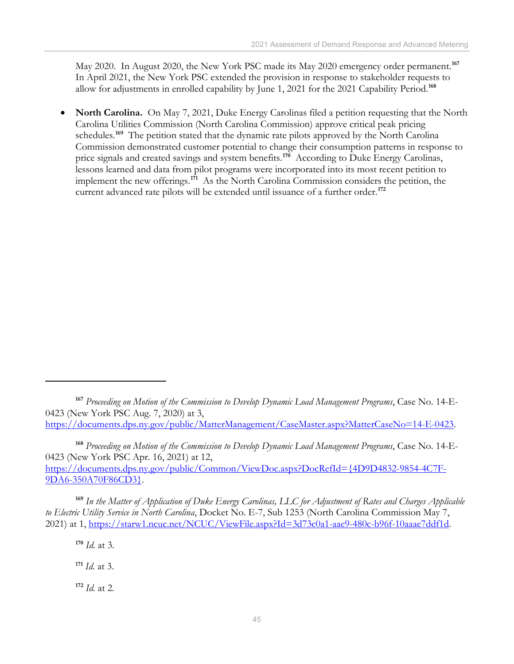May 2020. In August 2020, the New York PSC made its May 2020 emergency order permanent.**[167](#page-48-0)** In April 2021, the New York PSC extended the provision in response to stakeholder requests to allow for adjustments in enrolled capability by June 1, 2021 for the 2021 Capability Period. **[168](#page-48-1)**

• **North Carolina.** On May 7, 2021, Duke Energy Carolinas filed a petition requesting that the North Carolina Utilities Commission (North Carolina Commission) approve critical peak pricing schedules.<sup>[169](#page-48-2)</sup> The petition stated that the dynamic rate pilots approved by the North Carolina Commission demonstrated customer potential to change their consumption patterns in response to price signals and created savings and system benefits. **[170](#page-48-3)** According to Duke Energy Carolinas, lessons learned and data from pilot programs were incorporated into its most recent petition to implement the new offerings. **[171](#page-48-4)** As the North Carolina Commission considers the petition, the current advanced rate pilots will be extended until issuance of a further order.**[172](#page-48-5)**

<span id="page-48-3"></span><span id="page-48-2"></span>**<sup>169</sup>** *In the Matter of Application of Duke Energy Carolinas, LLC for Adjustment of Rates and Charges Applicable to Electric Utility Service in North Carolina*, Docket No. E-7, Sub 1253 (North Carolina Commission May 7, 2021) at 1, [https://starw1.ncuc.net/NCUC/ViewFile.aspx?Id=3d73c0a1-aae9-480c-b96f-10aaae7ddf1d.](https://starw1.ncuc.net/NCUC/ViewFile.aspx?Id=3d73c0a1-aae9-480c-b96f-10aaae7ddf1d)

**<sup>170</sup>** *Id.* at 3.

<span id="page-48-4"></span>**<sup>171</sup>** *Id.* at 3.

<span id="page-48-5"></span>**<sup>172</sup>** *Id.* at 2.

<span id="page-48-0"></span>**<sup>167</sup>** *Proceeding on Motion of the Commission to Develop Dynamic Load Management Programs*, Case No. 14-E-0423 (New York PSC Aug. 7, 2020) at 3, [https://documents.dps.ny.gov/public/MatterManagement/CaseMaster.aspx?MatterCaseNo=14-E-0423.](https://documents.dps.ny.gov/public/MatterManagement/CaseMaster.aspx?MatterCaseNo=14-E-0423)

<span id="page-48-1"></span>**<sup>168</sup>** *Proceeding on Motion of the Commission to Develop Dynamic Load Management Programs*, Case No. 14-E-0423 (New York PSC Apr. 16, 2021) at 12, [https://documents.dps.ny.gov/public/Common/ViewDoc.aspx?DocRefId={4D9D4832-9854-4C7F-](https://documents.dps.ny.gov/public/Common/ViewDoc.aspx?DocRefId=%7b4D9D4832-9854-4C7F-9DA6-350A70F86CD3%7d)[9DA6-350A70F86CD3}.](https://documents.dps.ny.gov/public/Common/ViewDoc.aspx?DocRefId=%7b4D9D4832-9854-4C7F-9DA6-350A70F86CD3%7d)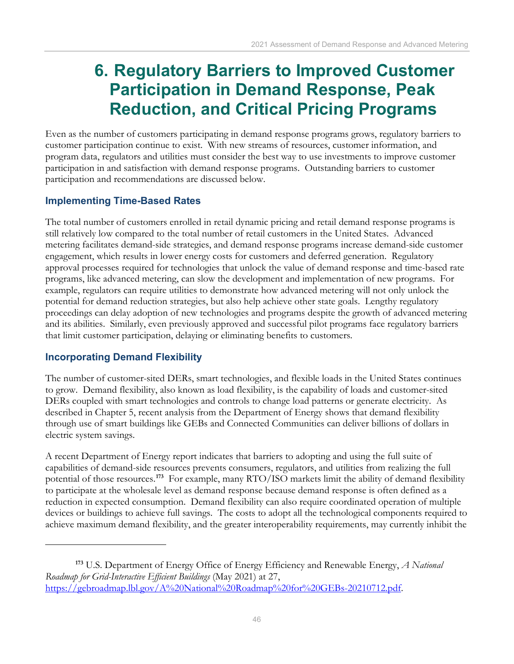## <span id="page-49-0"></span>**6. Regulatory Barriers to Improved Customer Participation in Demand Response, Peak Reduction, and Critical Pricing Programs**

Even as the number of customers participating in demand response programs grows, regulatory barriers to customer participation continue to exist. With new streams of resources, customer information, and program data, regulators and utilities must consider the best way to use investments to improve customer participation in and satisfaction with demand response programs. Outstanding barriers to customer participation and recommendations are discussed below.

### **Implementing Time-Based Rates**

The total number of customers enrolled in retail dynamic pricing and retail demand response programs is still relatively low compared to the total number of retail customers in the United States. Advanced metering facilitates demand-side strategies, and demand response programs increase demand-side customer engagement, which results in lower energy costs for customers and deferred generation. Regulatory approval processes required for technologies that unlock the value of demand response and time-based rate programs, like advanced metering, can slow the development and implementation of new programs. For example, regulators can require utilities to demonstrate how advanced metering will not only unlock the potential for demand reduction strategies, but also help achieve other state goals. Lengthy regulatory proceedings can delay adoption of new technologies and programs despite the growth of advanced metering and its abilities. Similarly, even previously approved and successful pilot programs face regulatory barriers that limit customer participation, delaying or eliminating benefits to customers.

#### **Incorporating Demand Flexibility**

The number of customer-sited DERs, smart technologies, and flexible loads in the United States continues to grow. Demand flexibility, also known as load flexibility, is the capability of loads and customer-sited DERs coupled with smart technologies and controls to change load patterns or generate electricity. As described in Chapter 5, recent analysis from the Department of Energy shows that demand flexibility through use of smart buildings like GEBs and Connected Communities can deliver billions of dollars in electric system savings.

A recent Department of Energy report indicates that barriers to adopting and using the full suite of capabilities of demand-side resources prevents consumers, regulators, and utilities from realizing the full potential of those resources. **[173](#page-49-1)** For example, many RTO/ISO markets limit the ability of demand flexibility to participate at the wholesale level as demand response because demand response is often defined as a reduction in expected consumption. Demand flexibility can also require coordinated operation of multiple devices or buildings to achieve full savings. The costs to adopt all the technological components required to achieve maximum demand flexibility, and the greater interoperability requirements, may currently inhibit the

<span id="page-49-1"></span>**<sup>173</sup>** U.S. Department of Energy Office of Energy Efficiency and Renewable Energy, *A National Roadmap for Grid-Interactive Efficient Buildings* (May 2021) at 27, [https://gebroadmap.lbl.gov/A%20National%20Roadmap%20for%20GEBs-20210712.pdf.](https://gebroadmap.lbl.gov/A%20National%20Roadmap%20for%20GEBs-20210712.pdf)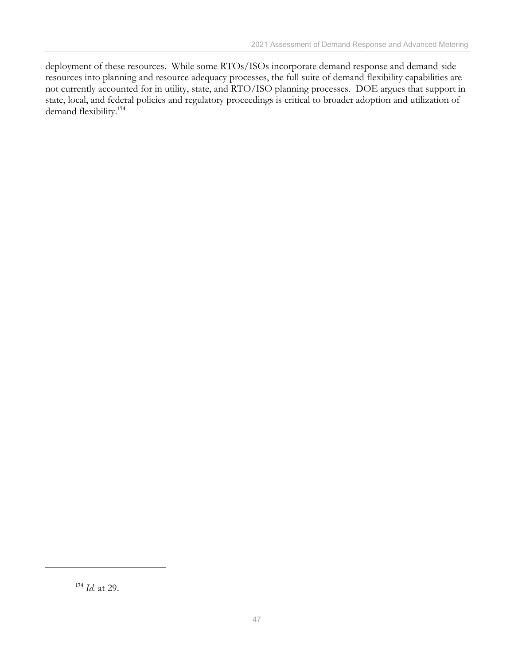deployment of these resources. While some RTOs/ISOs incorporate demand response and demand-side resources into planning and resource adequacy processes, the full suite of demand flexibility capabilities are not currently accounted for in utility, state, and RTO/ISO planning processes. DOE argues that support in state, local, and federal policies and regulatory proceedings is critical to broader adoption and utilization of demand flexibility.**[174](#page-50-0)**

<span id="page-50-0"></span>**<sup>174</sup>** *Id.* at 29.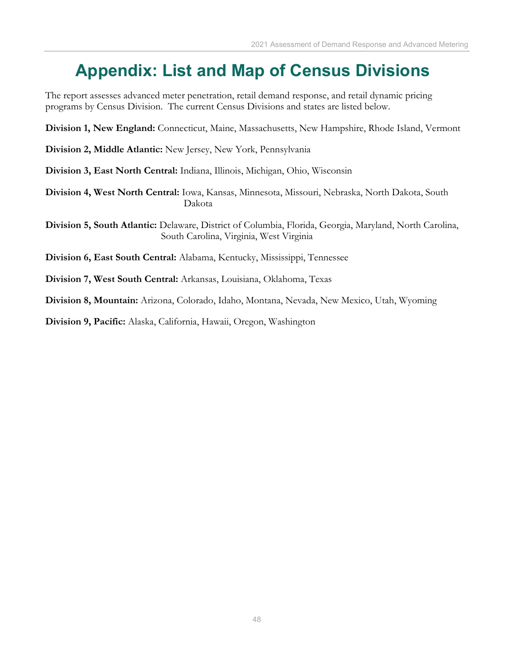## <span id="page-51-0"></span>**Appendix: List and Map of Census Divisions**

The report assesses advanced meter penetration, retail demand response, and retail dynamic pricing programs by Census Division. The current Census Divisions and states are listed below.

**Division 1, New England:** Connecticut, Maine, Massachusetts, New Hampshire, Rhode Island, Vermont

- **Division 2, Middle Atlantic:** New Jersey, New York, Pennsylvania
- **Division 3, East North Central:** Indiana, Illinois, Michigan, Ohio, Wisconsin
- **Division 4, West North Central:** Iowa, Kansas, Minnesota, Missouri, Nebraska, North Dakota, South Dakota

**Division 5, South Atlantic:** Delaware, District of Columbia, Florida, Georgia, Maryland, North Carolina, South Carolina, Virginia, West Virginia

- **Division 6, East South Central:** Alabama, Kentucky, Mississippi, Tennessee
- **Division 7, West South Central:** Arkansas, Louisiana, Oklahoma, Texas

**Division 8, Mountain:** Arizona, Colorado, Idaho, Montana, Nevada, New Mexico, Utah, Wyoming

**Division 9, Pacific:** Alaska, California, Hawaii, Oregon, Washington